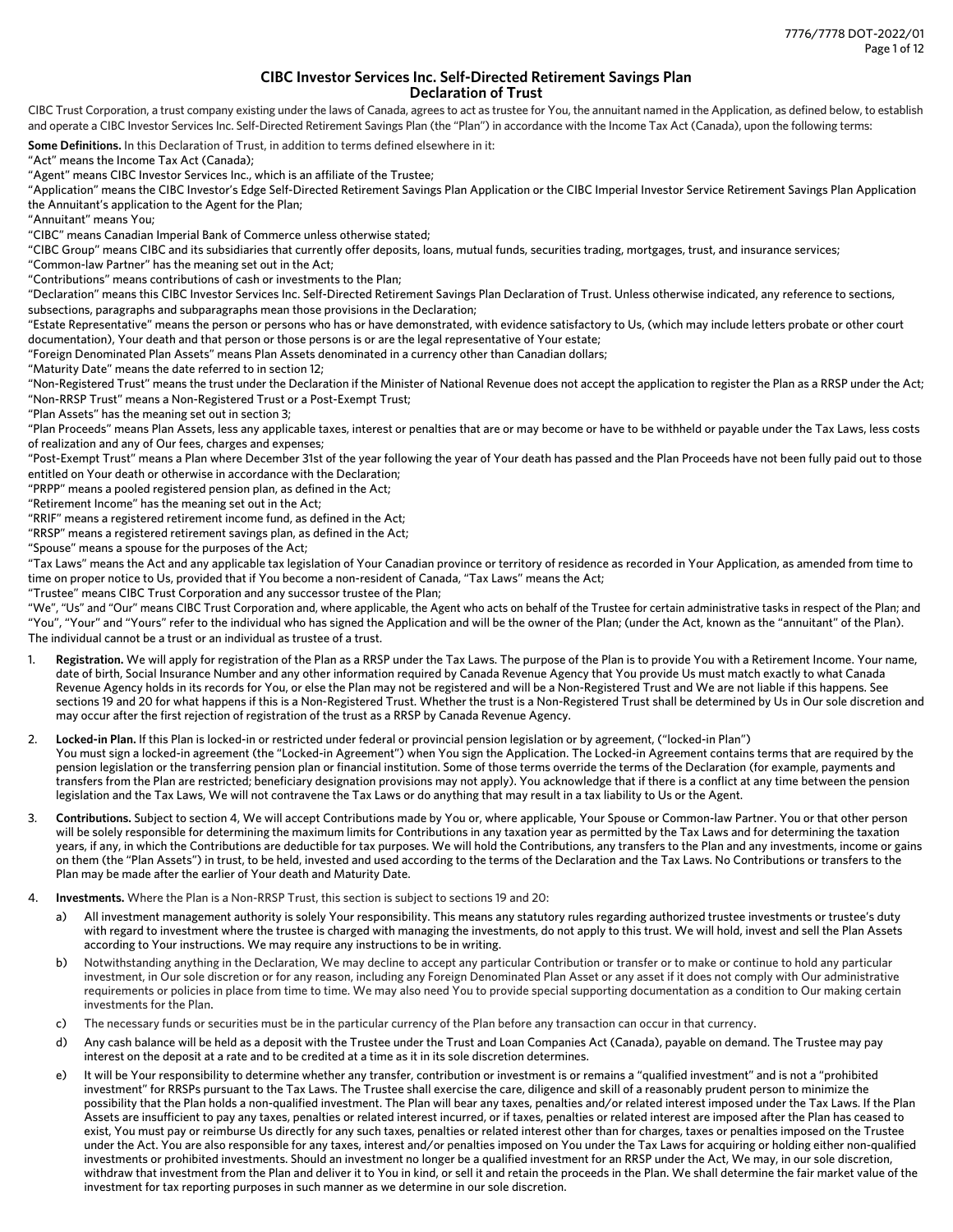# **CIBC Investor Services Inc. Self-Directed Retirement Savings Plan Declaration of Trust**

CIBC Trust Corporation, a trust company existing under the laws of Canada, agrees to act as trustee for You, the annuitant named in the Application, as defined below, to establish and operate a CIBC Investor Services Inc. Self-Directed Retirement Savings Plan (the "Plan") in accordance with the Income Tax Act (Canada), upon the following terms:

**Some Definitions.** In this Declaration of Trust, in addition to terms defined elsewhere in it:

"Act" means the Income Tax Act (Canada);

"Agent" means CIBC Investor Services Inc., which is an affiliate of the Trustee;

"Application" means the CIBC Investor's Edge Self-Directed Retirement Savings Plan Application or the CIBC Imperial Investor Service Retirement Savings Plan Application the Annuitant's application to the Agent for the Plan;

"Annuitant" means You;

"CIBC" means Canadian Imperial Bank of Commerce unless otherwise stated;

"CIBC Group" means CIBC and its subsidiaries that currently offer deposits, loans, mutual funds, securities trading, mortgages, trust, and insurance services;

"Common-law Partner" has the meaning set out in the Act;

"Contributions" means contributions of cash or investments to the Plan;

"Declaration" means this CIBC Investor Services Inc. Self-Directed Retirement Savings Plan Declaration of Trust. Unless otherwise indicated, any reference to sections, subsections, paragraphs and subparagraphs mean those provisions in the Declaration;

"Estate Representative" means the person or persons who has or have demonstrated, with evidence satisfactory to Us, (which may include letters probate or other court documentation), Your death and that person or those persons is or are the legal representative of Your estate;

"Foreign Denominated Plan Assets" means Plan Assets denominated in a currency other than Canadian dollars;

"Maturity Date" means the date referred to in section 12;

"Non-Registered Trust" means the trust under the Declaration if the Minister of National Revenue does not accept the application to register the Plan as a RRSP under the Act; "Non-RRSP Trust" means a Non-Registered Trust or a Post-Exempt Trust;

"Plan Assets" has the meaning set out in section 3;

"Plan Proceeds" means Plan Assets, less any applicable taxes, interest or penalties that are or may become or have to be withheld or payable under the Tax Laws, less costs of realization and any of Our fees, charges and expenses;

"Post-Exempt Trust" means a Plan where December 31st of the year following the year of Your death has passed and the Plan Proceeds have not been fully paid out to those entitled on Your death or otherwise in accordance with the Declaration;

"PRPP" means a pooled registered pension plan, as defined in the Act;

"Retirement Income" has the meaning set out in the Act;

"RRIF" means a registered retirement income fund, as defined in the Act;

"RRSP" means a registered retirement savings plan, as defined in the Act;

"Spouse" means a spouse for the purposes of the Act;

"Tax Laws" means the Act and any applicable tax legislation of Your Canadian province or territory of residence as recorded in Your Application, as amended from time to time on proper notice to Us, provided that if You become a non-resident of Canada, "Tax Laws" means the Act;

"Trustee" means CIBC Trust Corporation and any successor trustee of the Plan;

"We", "Us" and "Our" means CIBC Trust Corporation and, where applicable, the Agent who acts on behalf of the Trustee for certain administrative tasks in respect of the Plan; and "You", "Your" and "Yours" refer to the individual who has signed the Application and will be the owner of the Plan; (under the Act, known as the "annuitant" of the Plan). The individual cannot be a trust or an individual as trustee of a trust.

- 1. **Registration.** We will apply for registration of the Plan as a RRSP under the Tax Laws. The purpose of the Plan is to provide You with a Retirement Income. Your name, date of birth, Social Insurance Number and any other information required by Canada Revenue Agency that You provide Us must match exactly to what Canada Revenue Agency holds in its records for You, or else the Plan may not be registered and will be a Non-Registered Trust and We are not liable if this happens. See sections 19 and 20 for what happens if this is a Non-Registered Trust. Whether the trust is a Non-Registered Trust shall be determined by Us in Our sole discretion and may occur after the first rejection of registration of the trust as a RRSP by Canada Revenue Agency.
- 2. **Locked-in Plan.** If this Plan is locked-in or restricted under federal or provincial pension legislation or by agreement, ("locked-in Plan") You must sign a locked-in agreement (the "Locked-in Agreement") when You sign the Application. The Locked-in Agreement contains terms that are required by the pension legislation or the transferring pension plan or financial institution. Some of those terms override the terms of the Declaration (for example, payments and transfers from the Plan are restricted; beneficiary designation provisions may not apply). You acknowledge that if there is a conflict at any time between the pension legislation and the Tax Laws, We will not contravene the Tax Laws or do anything that may result in a tax liability to Us or the Agent.
- 3. **Contributions.** Subject to section 4, We will accept Contributions made by You or, where applicable, Your Spouse or Common-law Partner. You or that other person will be solely responsible for determining the maximum limits for Contributions in any taxation year as permitted by the Tax Laws and for determining the taxation years, if any, in which the Contributions are deductible for tax purposes. We will hold the Contributions, any transfers to the Plan and any investments, income or gains on them (the "Plan Assets") in trust, to be held, invested and used according to the terms of the Declaration and the Tax Laws. No Contributions or transfers to the Plan may be made after the earlier of Your death and Maturity Date.
- 4. **Investments.** Where the Plan is a Non-RRSP Trust, this section is subject to sections 19 and 20:
	- a) All investment management authority is solely Your responsibility. This means any statutory rules regarding authorized trustee investments or trustee's duty with regard to investment where the trustee is charged with managing the investments, do not apply to this trust. We will hold, invest and sell the Plan Assets according to Your instructions. We may require any instructions to be in writing.
	- b) Notwithstanding anything in the Declaration, We may decline to accept any particular Contribution or transfer or to make or continue to hold any particular investment, in Our sole discretion or for any reason, including any Foreign Denominated Plan Asset or any asset if it does not comply with Our administrative requirements or policies in place from time to time. We may also need You to provide special supporting documentation as a condition to Our making certain investments for the Plan.
	- c) The necessary funds or securities must be in the particular currency of the Plan before any transaction can occur in that currency.
	- d) Any cash balance will be held as a deposit with the Trustee under the Trust and Loan Companies Act (Canada), payable on demand. The Trustee may pay interest on the deposit at a rate and to be credited at a time as it in its sole discretion determines.
	- e) It will be Your responsibility to determine whether any transfer, contribution or investment is or remains a "qualified investment" and is not a "prohibited investment" for RRSPs pursuant to the Tax Laws. The Trustee shall exercise the care, diligence and skill of a reasonably prudent person to minimize the possibility that the Plan holds a non-qualified investment. The Plan will bear any taxes, penalties and/or related interest imposed under the Tax Laws. If the Plan Assets are insufficient to pay any taxes, penalties or related interest incurred, or if taxes, penalties or related interest are imposed after the Plan has ceased to exist, You must pay or reimburse Us directly for any such taxes, penalties or related interest other than for charges, taxes or penalties imposed on the Trustee under the Act. You are also responsible for any taxes, interest and/or penalties imposed on You under the Tax Laws for acquiring or holding either non-qualified investments or prohibited investments. Should an investment no longer be a qualified investment for an RRSP under the Act, We may, in our sole discretion, withdraw that investment from the Plan and deliver it to You in kind, or sell it and retain the proceeds in the Plan. We shall determine the fair market value of the investment for tax reporting purposes in such manner as we determine in our sole discretion.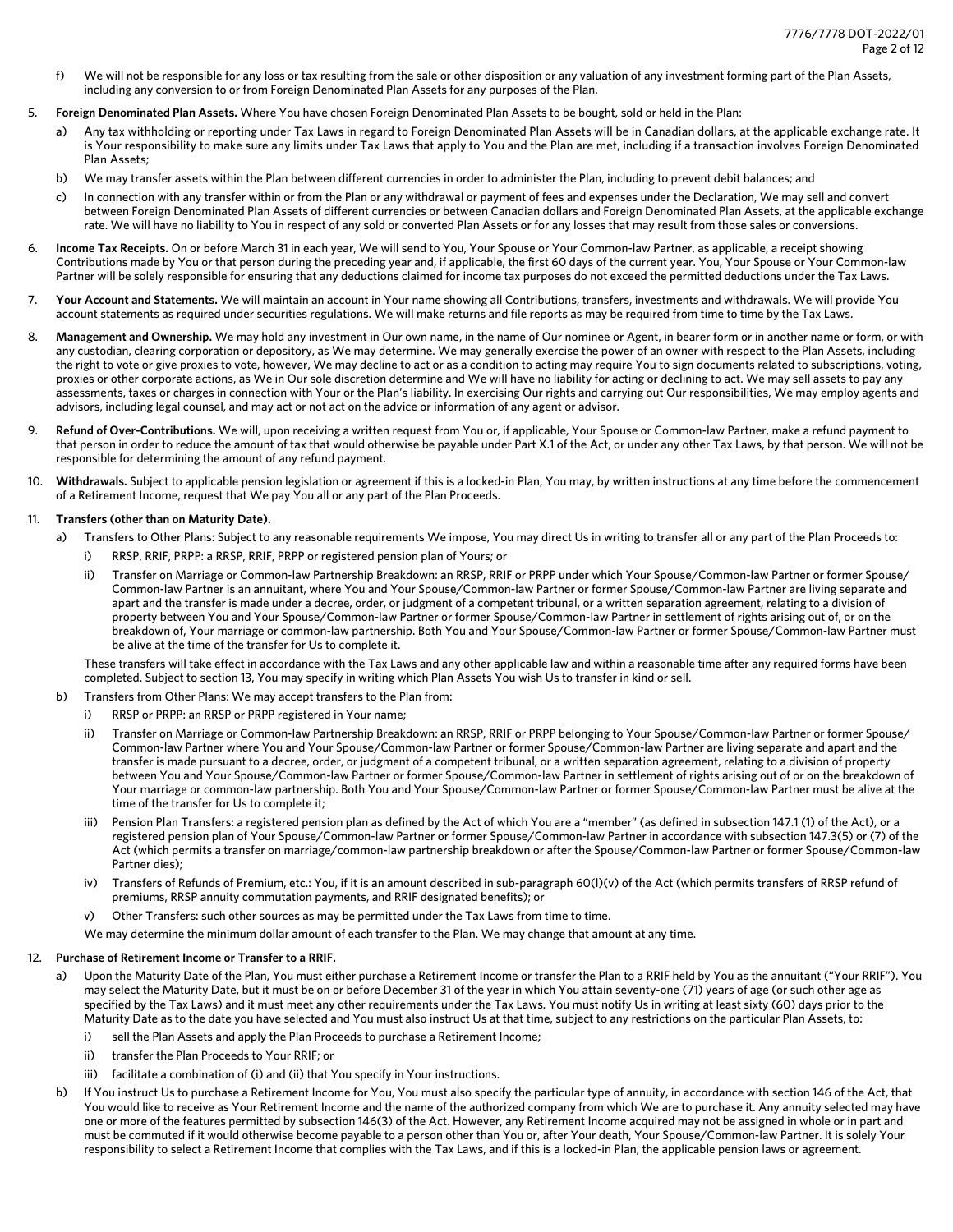- f) We will not be responsible for any loss or tax resulting from the sale or other disposition or any valuation of any investment forming part of the Plan Assets, including any conversion to or from Foreign Denominated Plan Assets for any purposes of the Plan.
- 5. **Foreign Denominated Plan Assets.** Where You have chosen Foreign Denominated Plan Assets to be bought, sold or held in the Plan:
	- a) Any tax withholding or reporting under Tax Laws in regard to Foreign Denominated Plan Assets will be in Canadian dollars, at the applicable exchange rate. It is Your responsibility to make sure any limits under Tax Laws that apply to You and the Plan are met, including if a transaction involves Foreign Denominated Plan Assets;
	- b) We may transfer assets within the Plan between different currencies in order to administer the Plan, including to prevent debit balances; and
	- c) In connection with any transfer within or from the Plan or any withdrawal or payment of fees and expenses under the Declaration, We may sell and convert between Foreign Denominated Plan Assets of different currencies or between Canadian dollars and Foreign Denominated Plan Assets, at the applicable exchange rate. We will have no liability to You in respect of any sold or converted Plan Assets or for any losses that may result from those sales or conversions.
- 6. **Income Tax Receipts.** On or before March 31 in each year, We will send to You, Your Spouse or Your Common-law Partner, as applicable, a receipt showing Contributions made by You or that person during the preceding year and, if applicable, the first 60 days of the current year. You, Your Spouse or Your Common-law Partner will be solely responsible for ensuring that any deductions claimed for income tax purposes do not exceed the permitted deductions under the Tax Laws.
- 7. **Your Account and Statements.** We will maintain an account in Your name showing all Contributions, transfers, investments and withdrawals. We will provide You account statements as required under securities regulations. We will make returns and file reports as may be required from time to time by the Tax Laws.
- 8. **Management and Ownership.** We may hold any investment in Our own name, in the name of Our nominee or Agent, in bearer form or in another name or form, or with any custodian, clearing corporation or depository, as We may determine. We may generally exercise the power of an owner with respect to the Plan Assets, including the right to vote or give proxies to vote, however, We may decline to act or as a condition to acting may require You to sign documents related to subscriptions, voting, proxies or other corporate actions, as We in Our sole discretion determine and We will have no liability for acting or declining to act. We may sell assets to pay any assessments, taxes or charges in connection with Your or the Plan's liability. In exercising Our rights and carrying out Our responsibilities, We may employ agents and advisors, including legal counsel, and may act or not act on the advice or information of any agent or advisor.
- 9. **Refund of Over-Contributions.** We will, upon receiving a written request from You or, if applicable, Your Spouse or Common-law Partner, make a refund payment to that person in order to reduce the amount of tax that would otherwise be payable under Part X.1 of the Act, or under any other Tax Laws, by that person. We will not be responsible for determining the amount of any refund payment.
- 10. **Withdrawals.** Subject to applicable pension legislation or agreement if this is a locked-in Plan, You may, by written instructions at any time before the commencement of a Retirement Income, request that We pay You all or any part of the Plan Proceeds.

## 11. **Transfers (other than on Maturity Date).**

- a) Transfers to Other Plans: Subject to any reasonable requirements We impose, You may direct Us in writing to transfer all or any part of the Plan Proceeds to:
	- i) RRSP, RRIF, PRPP: a RRSP, RRIF, PRPP or registered pension plan of Yours; or
	- ii) Transfer on Marriage or Common-law Partnership Breakdown: an RRSP, RRIF or PRPP under which Your Spouse/Common-law Partner or former Spouse/ Common-law Partner is an annuitant, where You and Your Spouse/Common-law Partner or former Spouse/Common-law Partner are living separate and apart and the transfer is made under a decree, order, or judgment of a competent tribunal, or a written separation agreement, relating to a division of property between You and Your Spouse/Common-law Partner or former Spouse/Common-law Partner in settlement of rights arising out of, or on the breakdown of, Your marriage or common-law partnership. Both You and Your Spouse/Common-law Partner or former Spouse/Common-law Partner must be alive at the time of the transfer for Us to complete it.

These transfers will take effect in accordance with the Tax Laws and any other applicable law and within a reasonable time after any required forms have been completed. Subject to section 13, You may specify in writing which Plan Assets You wish Us to transfer in kind or sell.

- b) Transfers from Other Plans: We may accept transfers to the Plan from:
	- i) RRSP or PRPP: an RRSP or PRPP registered in Your name;
	- ii) Transfer on Marriage or Common-law Partnership Breakdown: an RRSP, RRIF or PRPP belonging to Your Spouse/Common-law Partner or former Spouse/ Common-law Partner where You and Your Spouse/Common-law Partner or former Spouse/Common-law Partner are living separate and apart and the transfer is made pursuant to a decree, order, or judgment of a competent tribunal, or a written separation agreement, relating to a division of property between You and Your Spouse/Common-law Partner or former Spouse/Common-law Partner in settlement of rights arising out of or on the breakdown of Your marriage or common-law partnership. Both You and Your Spouse/Common-law Partner or former Spouse/Common-law Partner must be alive at the time of the transfer for Us to complete it;
	- iii) Pension Plan Transfers: a registered pension plan as defined by the Act of which You are a "member" (as defined in subsection 147.1 (1) of the Act), or a registered pension plan of Your Spouse/Common-law Partner or former Spouse/Common-law Partner in accordance with subsection 147.3(5) or (7) of the Act (which permits a transfer on marriage/common-law partnership breakdown or after the Spouse/Common-law Partner or former Spouse/Common-law Partner dies);
	- iv) Transfers of Refunds of Premium, etc.: You, if it is an amount described in sub-paragraph 60(l)(v) of the Act (which permits transfers of RRSP refund of premiums, RRSP annuity commutation payments, and RRIF designated benefits); or
	- v) Other Transfers: such other sources as may be permitted under the Tax Laws from time to time.

We may determine the minimum dollar amount of each transfer to the Plan. We may change that amount at any time.

### 12. **Purchase of Retirement Income or Transfer to a RRIF.**

- a) Upon the Maturity Date of the Plan, You must either purchase a Retirement Income or transfer the Plan to a RRIF held by You as the annuitant ("Your RRIF"). You may select the Maturity Date, but it must be on or before December 31 of the year in which You attain seventy-one (71) years of age (or such other age as specified by the Tax Laws) and it must meet any other requirements under the Tax Laws. You must notify Us in writing at least sixty (60) days prior to the Maturity Date as to the date you have selected and You must also instruct Us at that time, subject to any restrictions on the particular Plan Assets, to:
	- i) sell the Plan Assets and apply the Plan Proceeds to purchase a Retirement Income;
	- ii) transfer the Plan Proceeds to Your RRIF; or
	- iii) facilitate a combination of (i) and (ii) that You specify in Your instructions.
- b) If You instruct Us to purchase a Retirement Income for You, You must also specify the particular type of annuity, in accordance with section 146 of the Act, that You would like to receive as Your Retirement Income and the name of the authorized company from which We are to purchase it. Any annuity selected may have one or more of the features permitted by subsection 146(3) of the Act. However, any Retirement Income acquired may not be assigned in whole or in part and must be commuted if it would otherwise become payable to a person other than You or, after Your death, Your Spouse/Common-law Partner. It is solely Your responsibility to select a Retirement Income that complies with the Tax Laws, and if this is a locked-in Plan, the applicable pension laws or agreement.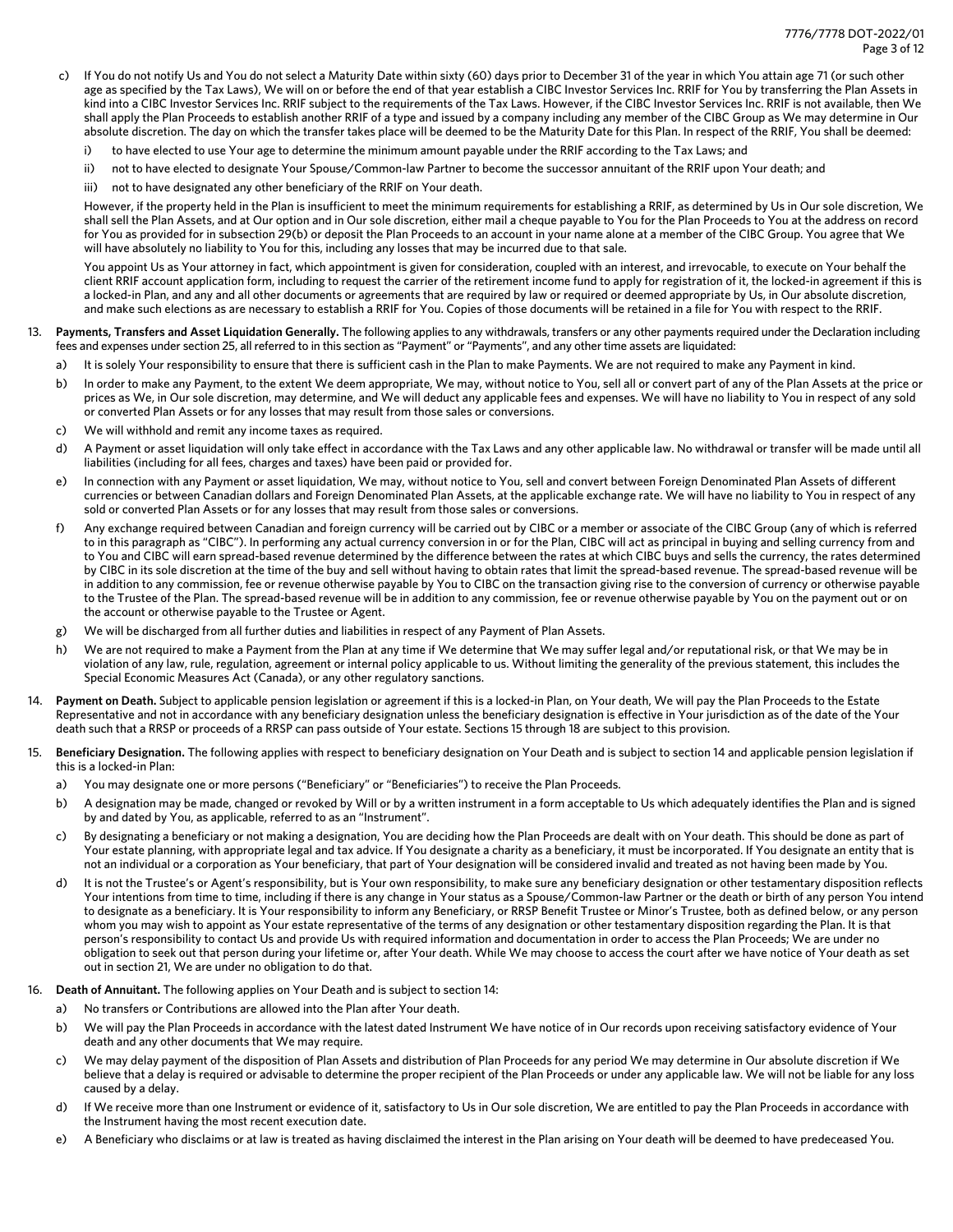- c) If You do not notify Us and You do not select a Maturity Date within sixty (60) days prior to December 31 of the year in which You attain age 71 (or such other age as specified by the Tax Laws), We will on or before the end of that year establish a CIBC Investor Services Inc. RRIF for You by transferring the Plan Assets in kind into a CIBC Investor Services Inc. RRIF subject to the requirements of the Tax Laws. However, if the CIBC Investor Services Inc. RRIF is not available, then We shall apply the Plan Proceeds to establish another RRIF of a type and issued by a company including any member of the CIBC Group as We may determine in Our absolute discretion. The day on which the transfer takes place will be deemed to be the Maturity Date for this Plan. In respect of the RRIF, You shall be deemed:
	- i) to have elected to use Your age to determine the minimum amount payable under the RRIF according to the Tax Laws; and
	- ii) not to have elected to designate Your Spouse/Common-law Partner to become the successor annuitant of the RRIF upon Your death; and
	- iii) not to have designated any other beneficiary of the RRIF on Your death.

However, if the property held in the Plan is insufficient to meet the minimum requirements for establishing a RRIF, as determined by Us in Our sole discretion, We shall sell the Plan Assets, and at Our option and in Our sole discretion, either mail a cheque payable to You for the Plan Proceeds to You at the address on record for You as provided for in subsection 29(b) or deposit the Plan Proceeds to an account in your name alone at a member of the CIBC Group. You agree that We will have absolutely no liability to You for this, including any losses that may be incurred due to that sale.

You appoint Us as Your attorney in fact, which appointment is given for consideration, coupled with an interest, and irrevocable, to execute on Your behalf the client RRIF account application form, including to request the carrier of the retirement income fund to apply for registration of it, the locked-in agreement if this is a locked-in Plan, and any and all other documents or agreements that are required by law or required or deemed appropriate by Us, in Our absolute discretion, and make such elections as are necessary to establish a RRIF for You. Copies of those documents will be retained in a file for You with respect to the RRIF.

- 13. **Payments, Transfers and Asset Liquidation Generally.** The following applies to any withdrawals, transfers or any other payments required under the Declaration including fees and expenses under section 25, all referred to in this section as "Payment" or "Payments", and any other time assets are liquidated:
	- a) It is solely Your responsibility to ensure that there is sufficient cash in the Plan to make Payments. We are not required to make any Payment in kind.
	- b) In order to make any Payment, to the extent We deem appropriate, We may, without notice to You, sell all or convert part of any of the Plan Assets at the price or prices as We, in Our sole discretion, may determine, and We will deduct any applicable fees and expenses. We will have no liability to You in respect of any sold or converted Plan Assets or for any losses that may result from those sales or conversions.
	- c) We will withhold and remit any income taxes as required.
	- d) A Payment or asset liquidation will only take effect in accordance with the Tax Laws and any other applicable law. No withdrawal or transfer will be made until all liabilities (including for all fees, charges and taxes) have been paid or provided for.
	- e) In connection with any Payment or asset liquidation, We may, without notice to You, sell and convert between Foreign Denominated Plan Assets of different currencies or between Canadian dollars and Foreign Denominated Plan Assets, at the applicable exchange rate. We will have no liability to You in respect of any sold or converted Plan Assets or for any losses that may result from those sales or conversions.
	- f) Any exchange required between Canadian and foreign currency will be carried out by CIBC or a member or associate of the CIBC Group (any of which is referred to in this paragraph as "CIBC"). In performing any actual currency conversion in or for the Plan, CIBC will act as principal in buying and selling currency from and to You and CIBC will earn spread-based revenue determined by the difference between the rates at which CIBC buys and sells the currency, the rates determined by CIBC in its sole discretion at the time of the buy and sell without having to obtain rates that limit the spread-based revenue. The spread-based revenue will be in addition to any commission, fee or revenue otherwise payable by You to CIBC on the transaction giving rise to the conversion of currency or otherwise payable to the Trustee of the Plan. The spread-based revenue will be in addition to any commission, fee or revenue otherwise payable by You on the payment out or on the account or otherwise payable to the Trustee or Agent.
	- g) We will be discharged from all further duties and liabilities in respect of any Payment of Plan Assets.
	- h) We are not required to make a Payment from the Plan at any time if We determine that We may suffer legal and/or reputational risk, or that We may be in violation of any law, rule, regulation, agreement or internal policy applicable to us. Without limiting the generality of the previous statement, this includes the Special Economic Measures Act (Canada), or any other regulatory sanctions.
- Payment on Death. Subject to applicable pension legislation or agreement if this is a locked-in Plan, on Your death, We will pay the Plan Proceeds to the Estate Representative and not in accordance with any beneficiary designation unless the beneficiary designation is effective in Your jurisdiction as of the date of the Your death such that a RRSP or proceeds of a RRSP can pass outside of Your estate. Sections 15 through 18 are subject to this provision.
- 15. **Beneficiary Designation.** The following applies with respect to beneficiary designation on Your Death and is subject to section 14 and applicable pension legislation if this is a locked-in Plan:
	- a) You may designate one or more persons ("Beneficiary" or "Beneficiaries") to receive the Plan Proceeds.
	- b) A designation may be made, changed or revoked by Will or by a written instrument in a form acceptable to Us which adequately identifies the Plan and is signed by and dated by You, as applicable, referred to as an "Instrument".
	- c) By designating a beneficiary or not making a designation, You are deciding how the Plan Proceeds are dealt with on Your death. This should be done as part of Your estate planning, with appropriate legal and tax advice. If You designate a charity as a beneficiary, it must be incorporated. If You designate an entity that is not an individual or a corporation as Your beneficiary, that part of Your designation will be considered invalid and treated as not having been made by You.
	- d) It is not the Trustee's or Agent's responsibility, but is Your own responsibility, to make sure any beneficiary designation or other testamentary disposition reflects Your intentions from time to time, including if there is any change in Your status as a Spouse/Common-law Partner or the death or birth of any person You intend to designate as a beneficiary. It is Your responsibility to inform any Beneficiary, or RRSP Benefit Trustee or Minor's Trustee, both as defined below, or any person whom you may wish to appoint as Your estate representative of the terms of any designation or other testamentary disposition regarding the Plan. It is that person's responsibility to contact Us and provide Us with required information and documentation in order to access the Plan Proceeds; We are under no obligation to seek out that person during your lifetime or, after Your death. While We may choose to access the court after we have notice of Your death as set out in section 21, We are under no obligation to do that.
- 16. **Death of Annuitant.** The following applies on Your Death and is subject to section 14:
	- a) No transfers or Contributions are allowed into the Plan after Your death.
	- b) We will pay the Plan Proceeds in accordance with the latest dated Instrument We have notice of in Our records upon receiving satisfactory evidence of Your death and any other documents that We may require.
	- c) We may delay payment of the disposition of Plan Assets and distribution of Plan Proceeds for any period We may determine in Our absolute discretion if We believe that a delay is required or advisable to determine the proper recipient of the Plan Proceeds or under any applicable law. We will not be liable for any loss caused by a delay.
	- d) If We receive more than one Instrument or evidence of it, satisfactory to Us in Our sole discretion, We are entitled to pay the Plan Proceeds in accordance with the Instrument having the most recent execution date.
	- e) A Beneficiary who disclaims or at law is treated as having disclaimed the interest in the Plan arising on Your death will be deemed to have predeceased You.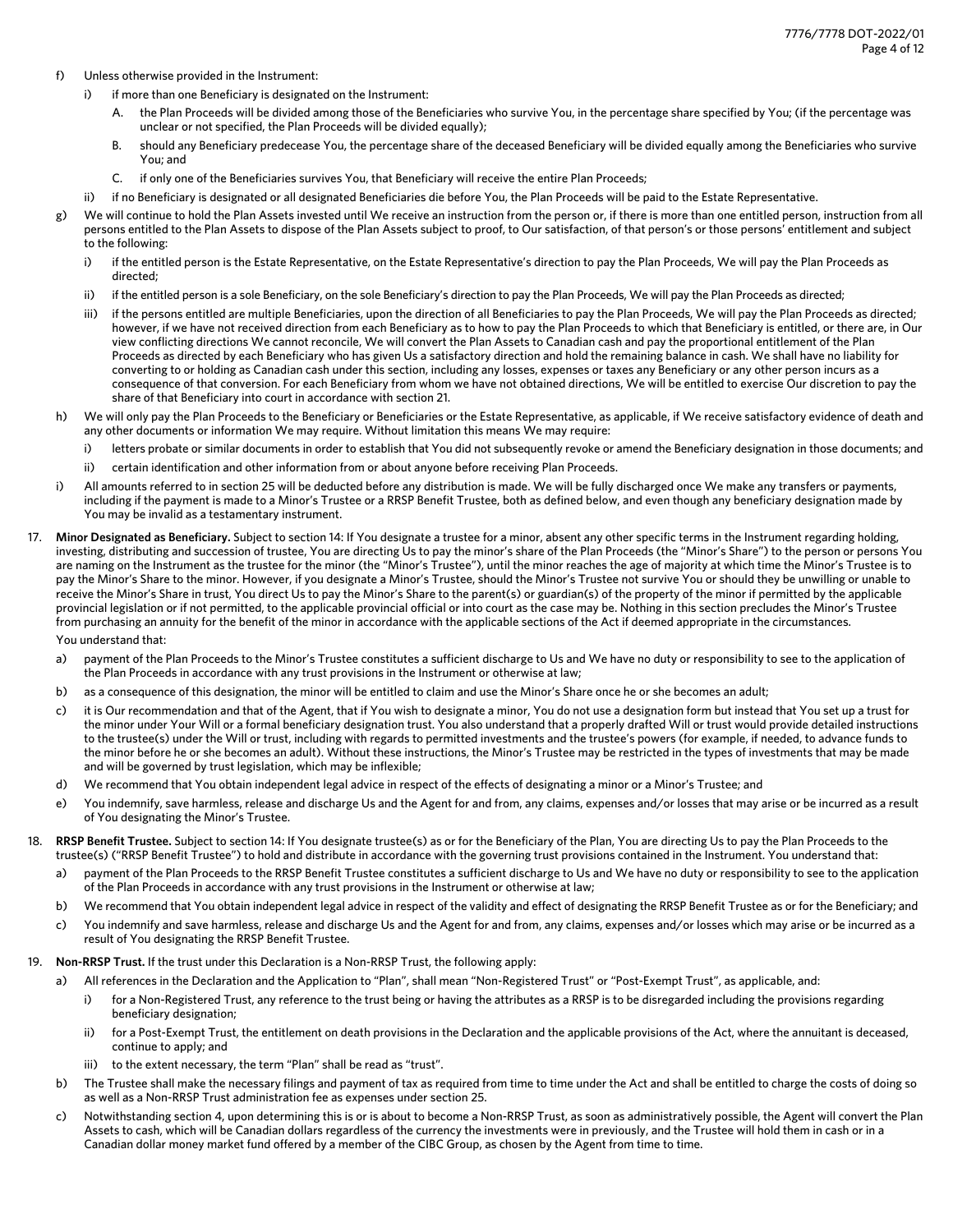- f) Unless otherwise provided in the Instrument:
	- i) if more than one Beneficiary is designated on the Instrument:
		- A. the Plan Proceeds will be divided among those of the Beneficiaries who survive You, in the percentage share specified by You; (if the percentage was unclear or not specified, the Plan Proceeds will be divided equally);
		- B. should any Beneficiary predecease You, the percentage share of the deceased Beneficiary will be divided equally among the Beneficiaries who survive You; and
		- C. if only one of the Beneficiaries survives You, that Beneficiary will receive the entire Plan Proceeds;
	- ii) if no Beneficiary is designated or all designated Beneficiaries die before You, the Plan Proceeds will be paid to the Estate Representative.
- g) We will continue to hold the Plan Assets invested until We receive an instruction from the person or, if there is more than one entitled person, instruction from all persons entitled to the Plan Assets to dispose of the Plan Assets subject to proof, to Our satisfaction, of that person's or those persons' entitlement and subject to the following:
	- i) if the entitled person is the Estate Representative, on the Estate Representative's direction to pay the Plan Proceeds, We will pay the Plan Proceeds as directed;
	- ii) if the entitled person is a sole Beneficiary, on the sole Beneficiary's direction to pay the Plan Proceeds, We will pay the Plan Proceeds as directed;
	- iii) if the persons entitled are multiple Beneficiaries, upon the direction of all Beneficiaries to pay the Plan Proceeds, We will pay the Plan Proceeds as directed; however, if we have not received direction from each Beneficiary as to how to pay the Plan Proceeds to which that Beneficiary is entitled, or there are, in Our view conflicting directions We cannot reconcile, We will convert the Plan Assets to Canadian cash and pay the proportional entitlement of the Plan Proceeds as directed by each Beneficiary who has given Us a satisfactory direction and hold the remaining balance in cash. We shall have no liability for converting to or holding as Canadian cash under this section, including any losses, expenses or taxes any Beneficiary or any other person incurs as a consequence of that conversion. For each Beneficiary from whom we have not obtained directions, We will be entitled to exercise Our discretion to pay the share of that Beneficiary into court in accordance with section 21.
- h) We will only pay the Plan Proceeds to the Beneficiary or Beneficiaries or the Estate Representative, as applicable, if We receive satisfactory evidence of death and any other documents or information We may require. Without limitation this means We may require:
	- i) letters probate or similar documents in order to establish that You did not subsequently revoke or amend the Beneficiary designation in those documents; and
	- ii) certain identification and other information from or about anyone before receiving Plan Proceeds.
- i) All amounts referred to in section 25 will be deducted before any distribution is made. We will be fully discharged once We make any transfers or payments, including if the payment is made to a Minor's Trustee or a RRSP Benefit Trustee, both as defined below, and even though any beneficiary designation made by You may be invalid as a testamentary instrument.
- 17. **Minor Designated as Beneficiary.** Subject to section 14: If You designate a trustee for a minor, absent any other specific terms in the Instrument regarding holding, investing, distributing and succession of trustee, You are directing Us to pay the minor's share of the Plan Proceeds (the "Minor's Share") to the person or persons You are naming on the Instrument as the trustee for the minor (the "Minor's Trustee"), until the minor reaches the age of majority at which time the Minor's Trustee is to pay the Minor's Share to the minor. However, if you designate a Minor's Trustee, should the Minor's Trustee not survive You or should they be unwilling or unable to receive the Minor's Share in trust, You direct Us to pay the Minor's Share to the parent(s) or guardian(s) of the property of the minor if permitted by the applicable provincial legislation or if not permitted, to the applicable provincial official or into court as the case may be. Nothing in this section precludes the Minor's Trustee from purchasing an annuity for the benefit of the minor in accordance with the applicable sections of the Act if deemed appropriate in the circumstances.

You understand that:

- a) payment of the Plan Proceeds to the Minor's Trustee constitutes a sufficient discharge to Us and We have no duty or responsibility to see to the application of the Plan Proceeds in accordance with any trust provisions in the Instrument or otherwise at law;
- b) as a consequence of this designation, the minor will be entitled to claim and use the Minor's Share once he or she becomes an adult;
- c) it is Our recommendation and that of the Agent, that if You wish to designate a minor, You do not use a designation form but instead that You set up a trust for the minor under Your Will or a formal beneficiary designation trust. You also understand that a properly drafted Will or trust would provide detailed instructions to the trustee(s) under the Will or trust, including with regards to permitted investments and the trustee's powers (for example, if needed, to advance funds to the minor before he or she becomes an adult). Without these instructions, the Minor's Trustee may be restricted in the types of investments that may be made and will be governed by trust legislation, which may be inflexible;
- d) We recommend that You obtain independent legal advice in respect of the effects of designating a minor or a Minor's Trustee; and
- e) You indemnify, save harmless, release and discharge Us and the Agent for and from, any claims, expenses and/or losses that may arise or be incurred as a result of You designating the Minor's Trustee.
- 18. **RRSP Benefit Trustee.** Subject to section 14: If You designate trustee(s) as or for the Beneficiary of the Plan, You are directing Us to pay the Plan Proceeds to the trustee(s) ("RRSP Benefit Trustee") to hold and distribute in accordance with the governing trust provisions contained in the Instrument. You understand that:
	- a) payment of the Plan Proceeds to the RRSP Benefit Trustee constitutes a sufficient discharge to Us and We have no duty or responsibility to see to the application of the Plan Proceeds in accordance with any trust provisions in the Instrument or otherwise at law;
	- b) We recommend that You obtain independent legal advice in respect of the validity and effect of designating the RRSP Benefit Trustee as or for the Beneficiary; and
	- c) You indemnify and save harmless, release and discharge Us and the Agent for and from, any claims, expenses and/or losses which may arise or be incurred as a result of You designating the RRSP Benefit Trustee.
- 19. **Non-RRSP Trust.** If the trust under this Declaration is a Non-RRSP Trust, the following apply:
	- a) All references in the Declaration and the Application to "Plan", shall mean "Non-Registered Trust" or "Post-Exempt Trust", as applicable, and:
		- i) for a Non-Registered Trust, any reference to the trust being or having the attributes as a RRSP is to be disregarded including the provisions regarding beneficiary designation;
		- ii) for a Post-Exempt Trust, the entitlement on death provisions in the Declaration and the applicable provisions of the Act, where the annuitant is deceased, continue to apply; and
		- iii) to the extent necessary, the term "Plan" shall be read as "trust".
	- b) The Trustee shall make the necessary filings and payment of tax as required from time to time under the Act and shall be entitled to charge the costs of doing so as well as a Non-RRSP Trust administration fee as expenses under section 25.
	- c) Notwithstanding section 4, upon determining this is or is about to become a Non-RRSP Trust, as soon as administratively possible, the Agent will convert the Plan Assets to cash, which will be Canadian dollars regardless of the currency the investments were in previously, and the Trustee will hold them in cash or in a Canadian dollar money market fund offered by a member of the CIBC Group, as chosen by the Agent from time to time.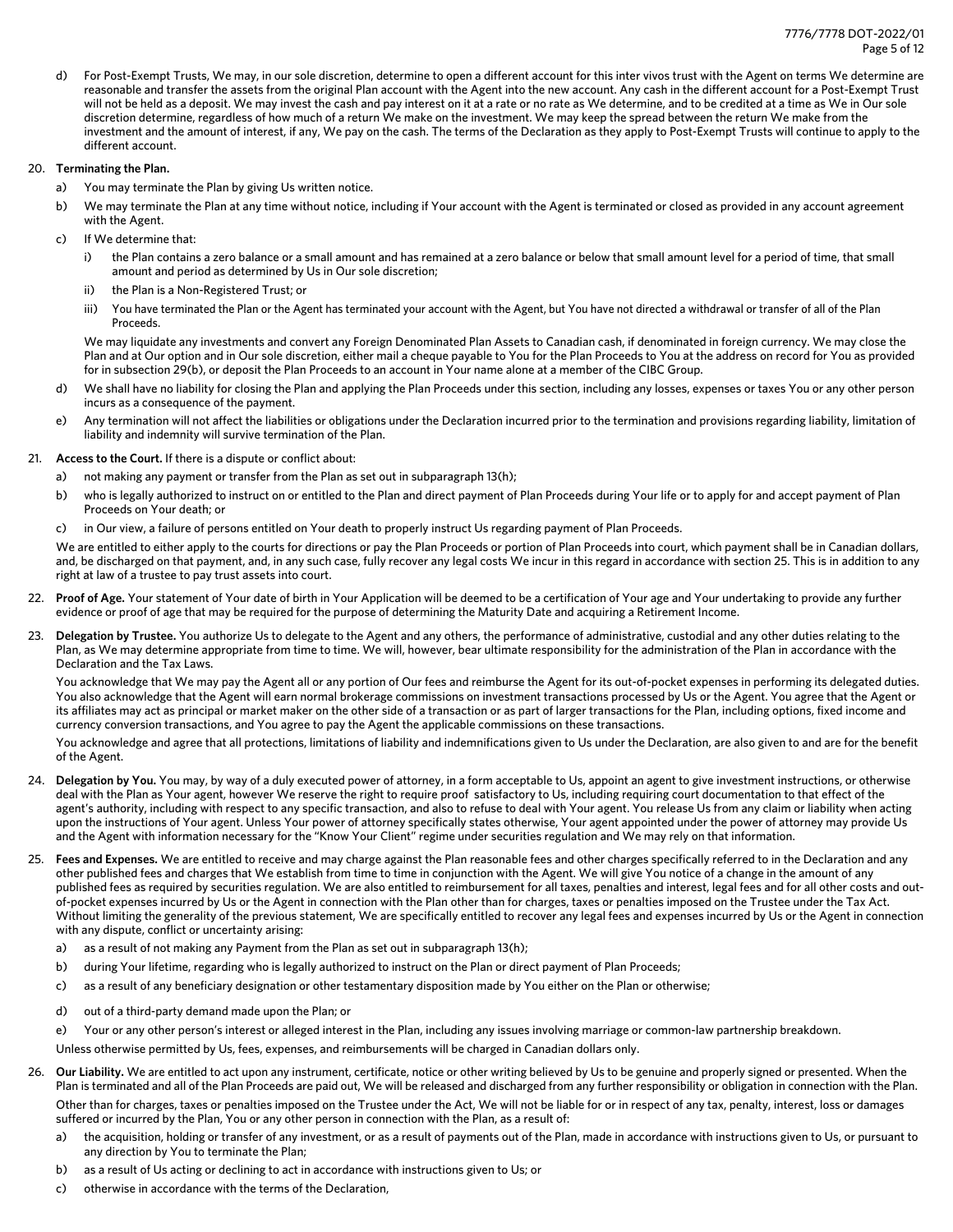d) For Post-Exempt Trusts, We may, in our sole discretion, determine to open a different account for this inter vivos trust with the Agent on terms We determine are reasonable and transfer the assets from the original Plan account with the Agent into the new account. Any cash in the different account for a Post-Exempt Trust will not be held as a deposit. We may invest the cash and pay interest on it at a rate or no rate as We determine, and to be credited at a time as We in Our sole discretion determine, regardless of how much of a return We make on the investment. We may keep the spread between the return We make from the investment and the amount of interest, if any, We pay on the cash. The terms of the Declaration as they apply to Post-Exempt Trusts will continue to apply to the different account.

## 20. **Terminating the Plan.**

- a) You may terminate the Plan by giving Us written notice.
- b) We may terminate the Plan at any time without notice, including if Your account with the Agent is terminated or closed as provided in any account agreement with the Agent.
- c) If We determine that:
	- i) the Plan contains a zero balance or a small amount and has remained at a zero balance or below that small amount level for a period of time, that small amount and period as determined by Us in Our sole discretion;
	- ii) the Plan is a Non-Registered Trust; or
	- iii) You have terminated the Plan or the Agent has terminated your account with the Agent, but You have not directed a withdrawal or transfer of all of the Plan Proceeds.

We may liquidate any investments and convert any Foreign Denominated Plan Assets to Canadian cash, if denominated in foreign currency. We may close the Plan and at Our option and in Our sole discretion, either mail a cheque payable to You for the Plan Proceeds to You at the address on record for You as provided for in subsection 29(b), or deposit the Plan Proceeds to an account in Your name alone at a member of the CIBC Group.

- d) We shall have no liability for closing the Plan and applying the Plan Proceeds under this section, including any losses, expenses or taxes You or any other person incurs as a consequence of the payment.
- e) Any termination will not affect the liabilities or obligations under the Declaration incurred prior to the termination and provisions regarding liability, limitation of liability and indemnity will survive termination of the Plan.

# 21. **Access to the Court.** If there is a dispute or conflict about:

- a) not making any payment or transfer from the Plan as set out in subparagraph 13(h);
- b) who is legally authorized to instruct on or entitled to the Plan and direct payment of Plan Proceeds during Your life or to apply for and accept payment of Plan Proceeds on Your death; or
- c) in Our view, a failure of persons entitled on Your death to properly instruct Us regarding payment of Plan Proceeds.

We are entitled to either apply to the courts for directions or pay the Plan Proceeds or portion of Plan Proceeds into court, which payment shall be in Canadian dollars, and, be discharged on that payment, and, in any such case, fully recover any legal costs We incur in this regard in accordance with section 25. This is in addition to any right at law of a trustee to pay trust assets into court.

- 22. **Proof of Age.** Your statement of Your date of birth in Your Application will be deemed to be a certification of Your age and Your undertaking to provide any further evidence or proof of age that may be required for the purpose of determining the Maturity Date and acquiring a Retirement Income.
- 23. Delegation by Trustee. You authorize Us to delegate to the Agent and any others, the performance of administrative, custodial and any other duties relating to the Plan, as We may determine appropriate from time to time. We will, however, bear ultimate responsibility for the administration of the Plan in accordance with the Declaration and the Tax Laws.

You acknowledge that We may pay the Agent all or any portion of Our fees and reimburse the Agent for its out-of-pocket expenses in performing its delegated duties. You also acknowledge that the Agent will earn normal brokerage commissions on investment transactions processed by Us or the Agent. You agree that the Agent or its affiliates may act as principal or market maker on the other side of a transaction or as part of larger transactions for the Plan, including options, fixed income and currency conversion transactions, and You agree to pay the Agent the applicable commissions on these transactions.

You acknowledge and agree that all protections, limitations of liability and indemnifications given to Us under the Declaration, are also given to and are for the benefit of the Agent.

- 24. Delegation by You. You may, by way of a duly executed power of attorney, in a form acceptable to Us, appoint an agent to give investment instructions, or otherwise deal with the Plan as Your agent, however We reserve the right to require proof satisfactory to Us, including requiring court documentation to that effect of the agent's authority, including with respect to any specific transaction, and also to refuse to deal with Your agent. You release Us from any claim or liability when acting upon the instructions of Your agent. Unless Your power of attorney specifically states otherwise, Your agent appointed under the power of attorney may provide Us and the Agent with information necessary for the "Know Your Client" regime under securities regulation and We may rely on that information.
- 25. **Fees and Expenses.** We are entitled to receive and may charge against the Plan reasonable fees and other charges specifically referred to in the Declaration and any other published fees and charges that We establish from time to time in conjunction with the Agent. We will give You notice of a change in the amount of any published fees as required by securities regulation. We are also entitled to reimbursement for all taxes, penalties and interest, legal fees and for all other costs and outof-pocket expenses incurred by Us or the Agent in connection with the Plan other than for charges, taxes or penalties imposed on the Trustee under the Tax Act. Without limiting the generality of the previous statement, We are specifically entitled to recover any legal fees and expenses incurred by Us or the Agent in connection with any dispute, conflict or uncertainty arising:
	- a) as a result of not making any Payment from the Plan as set out in subparagraph 13(h);
	- b) during Your lifetime, regarding who is legally authorized to instruct on the Plan or direct payment of Plan Proceeds;
	- c) as a result of any beneficiary designation or other testamentary disposition made by You either on the Plan or otherwise;
	- d) out of a third-party demand made upon the Plan; or
	- e) Your or any other person's interest or alleged interest in the Plan, including any issues involving marriage or common-law partnership breakdown.
	- Unless otherwise permitted by Us, fees, expenses, and reimbursements will be charged in Canadian dollars only.
- 26. **Our Liability.** We are entitled to act upon any instrument, certificate, notice or other writing believed by Us to be genuine and properly signed or presented. When the Plan is terminated and all of the Plan Proceeds are paid out, We will be released and discharged from any further responsibility or obligation in connection with the Plan. Other than for charges, taxes or penalties imposed on the Trustee under the Act, We will not be liable for or in respect of any tax, penalty, interest, loss or damages suffered or incurred by the Plan, You or any other person in connection with the Plan, as a result of:
	- a) the acquisition, holding or transfer of any investment, or as a result of payments out of the Plan, made in accordance with instructions given to Us, or pursuant to any direction by You to terminate the Plan;
	- b) as a result of Us acting or declining to act in accordance with instructions given to Us; or
	- c) otherwise in accordance with the terms of the Declaration,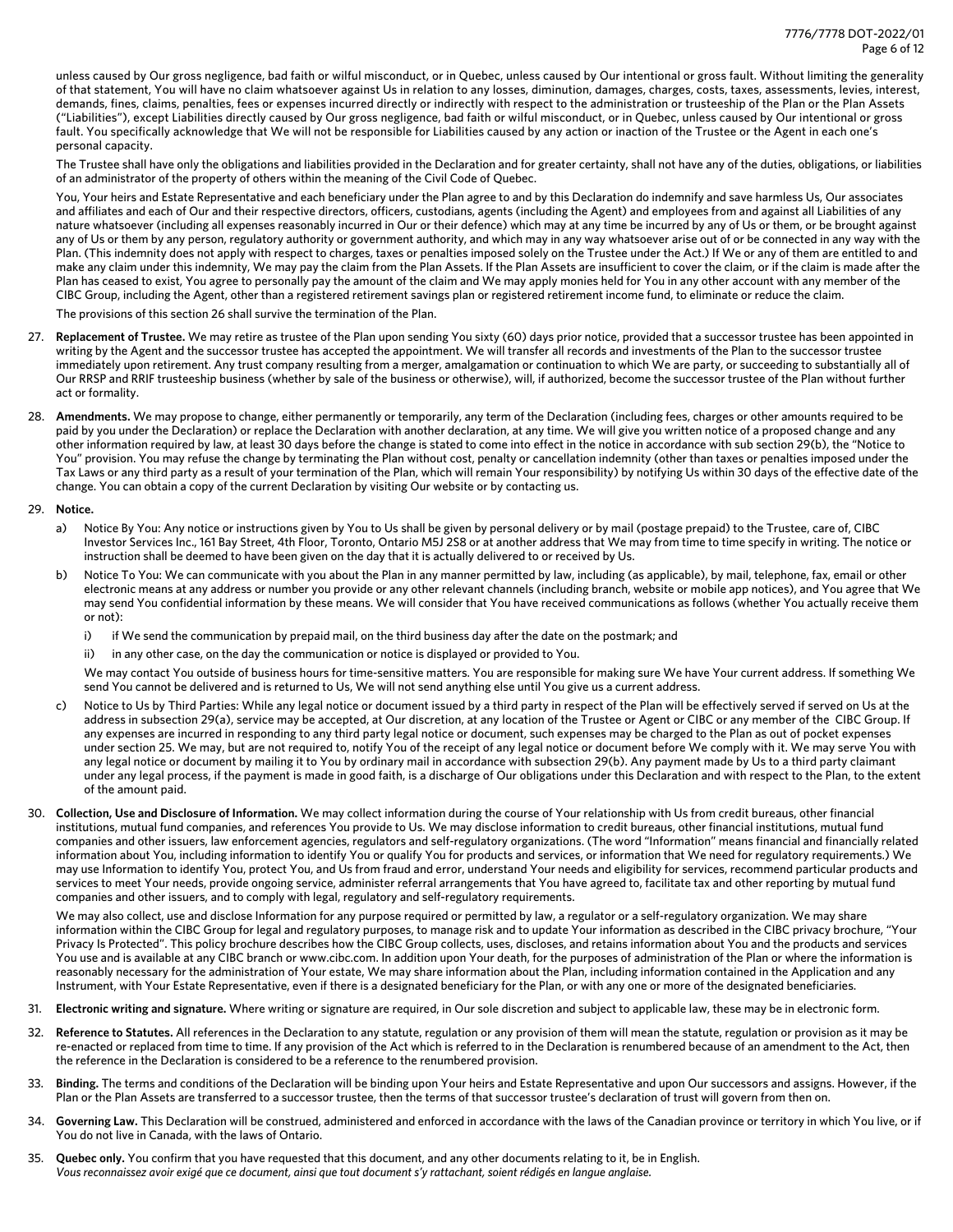unless caused by Our gross negligence, bad faith or wilful misconduct, or in Quebec, unless caused by Our intentional or gross fault. Without limiting the generality of that statement, You will have no claim whatsoever against Us in relation to any losses, diminution, damages, charges, costs, taxes, assessments, levies, interest, demands, fines, claims, penalties, fees or expenses incurred directly or indirectly with respect to the administration or trusteeship of the Plan or the Plan Assets ("Liabilities"), except Liabilities directly caused by Our gross negligence, bad faith or wilful misconduct, or in Quebec, unless caused by Our intentional or gross fault. You specifically acknowledge that We will not be responsible for Liabilities caused by any action or inaction of the Trustee or the Agent in each one's personal capacity.

The Trustee shall have only the obligations and liabilities provided in the Declaration and for greater certainty, shall not have any of the duties, obligations, or liabilities of an administrator of the property of others within the meaning of the Civil Code of Quebec.

You, Your heirs and Estate Representative and each beneficiary under the Plan agree to and by this Declaration do indemnify and save harmless Us, Our associates and affiliates and each of Our and their respective directors, officers, custodians, agents (including the Agent) and employees from and against all Liabilities of any nature whatsoever (including all expenses reasonably incurred in Our or their defence) which may at any time be incurred by any of Us or them, or be brought against any of Us or them by any person, regulatory authority or government authority, and which may in any way whatsoever arise out of or be connected in any way with the Plan. (This indemnity does not apply with respect to charges, taxes or penalties imposed solely on the Trustee under the Act.) If We or any of them are entitled to and make any claim under this indemnity, We may pay the claim from the Plan Assets. If the Plan Assets are insufficient to cover the claim, or if the claim is made after the Plan has ceased to exist, You agree to personally pay the amount of the claim and We may apply monies held for You in any other account with any member of the CIBC Group, including the Agent, other than a registered retirement savings plan or registered retirement income fund, to eliminate or reduce the claim.

The provisions of this section 26 shall survive the termination of the Plan.

- 27. **Replacement of Trustee.** We may retire as trustee of the Plan upon sending You sixty (60) days prior notice, provided that a successor trustee has been appointed in writing by the Agent and the successor trustee has accepted the appointment. We will transfer all records and investments of the Plan to the successor trustee immediately upon retirement. Any trust company resulting from a merger, amalgamation or continuation to which We are party, or succeeding to substantially all of Our RRSP and RRIF trusteeship business (whether by sale of the business or otherwise), will, if authorized, become the successor trustee of the Plan without further act or formality.
- 28. **Amendments.** We may propose to change, either permanently or temporarily, any term of the Declaration (including fees, charges or other amounts required to be paid by you under the Declaration) or replace the Declaration with another declaration, at any time. We will give you written notice of a proposed change and any other information required by law, at least 30 days before the change is stated to come into effect in the notice in accordance with sub section 29(b), the "Notice to You" provision. You may refuse the change by terminating the Plan without cost, penalty or cancellation indemnity (other than taxes or penalties imposed under the Tax Laws or any third party as a result of your termination of the Plan, which will remain Your responsibility) by notifying Us within 30 days of the effective date of the change. You can obtain a copy of the current Declaration by visiting Our website or by contacting us.

## 29. **Notice.**

- a) Notice By You: Any notice or instructions given by You to Us shall be given by personal delivery or by mail (postage prepaid) to the Trustee, care of, CIBC Investor Services Inc., 161 Bay Street, 4th Floor, Toronto, Ontario M5J 2S8 or at another address that We may from time to time specify in writing. The notice or instruction shall be deemed to have been given on the day that it is actually delivered to or received by Us.
- b) Notice To You: We can communicate with you about the Plan in any manner permitted by law, including (as applicable), by mail, telephone, fax, email or other electronic means at any address or number you provide or any other relevant channels (including branch, website or mobile app notices), and You agree that We may send You confidential information by these means. We will consider that You have received communications as follows (whether You actually receive them or not):
	- i) if We send the communication by prepaid mail, on the third business day after the date on the postmark; and
	- ii) in any other case, on the day the communication or notice is displayed or provided to You.

We may contact You outside of business hours for time-sensitive matters. You are responsible for making sure We have Your current address. If something We send You cannot be delivered and is returned to Us, We will not send anything else until You give us a current address.

- c) Notice to Us by Third Parties: While any legal notice or document issued by a third party in respect of the Plan will be effectively served if served on Us at the address in subsection 29(a), service may be accepted, at Our discretion, at any location of the Trustee or Agent or CIBC or any member of the CIBC Group. If any expenses are incurred in responding to any third party legal notice or document, such expenses may be charged to the Plan as out of pocket expenses under section 25. We may, but are not required to, notify You of the receipt of any legal notice or document before We comply with it. We may serve You with any legal notice or document by mailing it to You by ordinary mail in accordance with subsection 29(b). Any payment made by Us to a third party claimant under any legal process, if the payment is made in good faith, is a discharge of Our obligations under this Declaration and with respect to the Plan, to the extent of the amount paid.
- 30. **Collection, Use and Disclosure of Information.** We may collect information during the course of Your relationship with Us from credit bureaus, other financial institutions, mutual fund companies, and references You provide to Us. We may disclose information to credit bureaus, other financial institutions, mutual fund companies and other issuers, law enforcement agencies, regulators and self-regulatory organizations. (The word "Information" means financial and financially related information about You, including information to identify You or qualify You for products and services, or information that We need for regulatory requirements.) We may use Information to identify You, protect You, and Us from fraud and error, understand Your needs and eligibility for services, recommend particular products and services to meet Your needs, provide ongoing service, administer referral arrangements that You have agreed to, facilitate tax and other reporting by mutual fund companies and other issuers, and to comply with legal, regulatory and self-regulatory requirements.

We may also collect, use and disclose Information for any purpose required or permitted by law, a regulator or a self-regulatory organization. We may share information within the CIBC Group for legal and regulatory purposes, to manage risk and to update Your information as described in the CIBC privacy brochure, "Your Privacy Is Protected". This policy brochure describes how the CIBC Group collects, uses, discloses, and retains information about You and the products and services You use and is available at any CIBC branch or www.cibc.com. In addition upon Your death, for the purposes of administration of the Plan or where the information is reasonably necessary for the administration of Your estate, We may share information about the Plan, including information contained in the Application and any Instrument, with Your Estate Representative, even if there is a designated beneficiary for the Plan, or with any one or more of the designated beneficiaries.

- 31. **Electronic writing and signature.** Where writing or signature are required, in Our sole discretion and subject to applicable law, these may be in electronic form.
- 32. **Reference to Statutes.** All references in the Declaration to any statute, regulation or any provision of them will mean the statute, regulation or provision as it may be re-enacted or replaced from time to time. If any provision of the Act which is referred to in the Declaration is renumbered because of an amendment to the Act, then the reference in the Declaration is considered to be a reference to the renumbered provision.
- 33. **Binding.** The terms and conditions of the Declaration will be binding upon Your heirs and Estate Representative and upon Our successors and assigns. However, if the Plan or the Plan Assets are transferred to a successor trustee, then the terms of that successor trustee's declaration of trust will govern from then on.
- 34. **Governing Law.** This Declaration will be construed, administered and enforced in accordance with the laws of the Canadian province or territory in which You live, or if You do not live in Canada, with the laws of Ontario.
- 35. **Quebec only.** You confirm that you have requested that this document, and any other documents relating to it, be in English. *Vous reconnaissez avoir exigé que ce document, ainsi que tout document s'y rattachant, soient rédigés en langue anglaise.*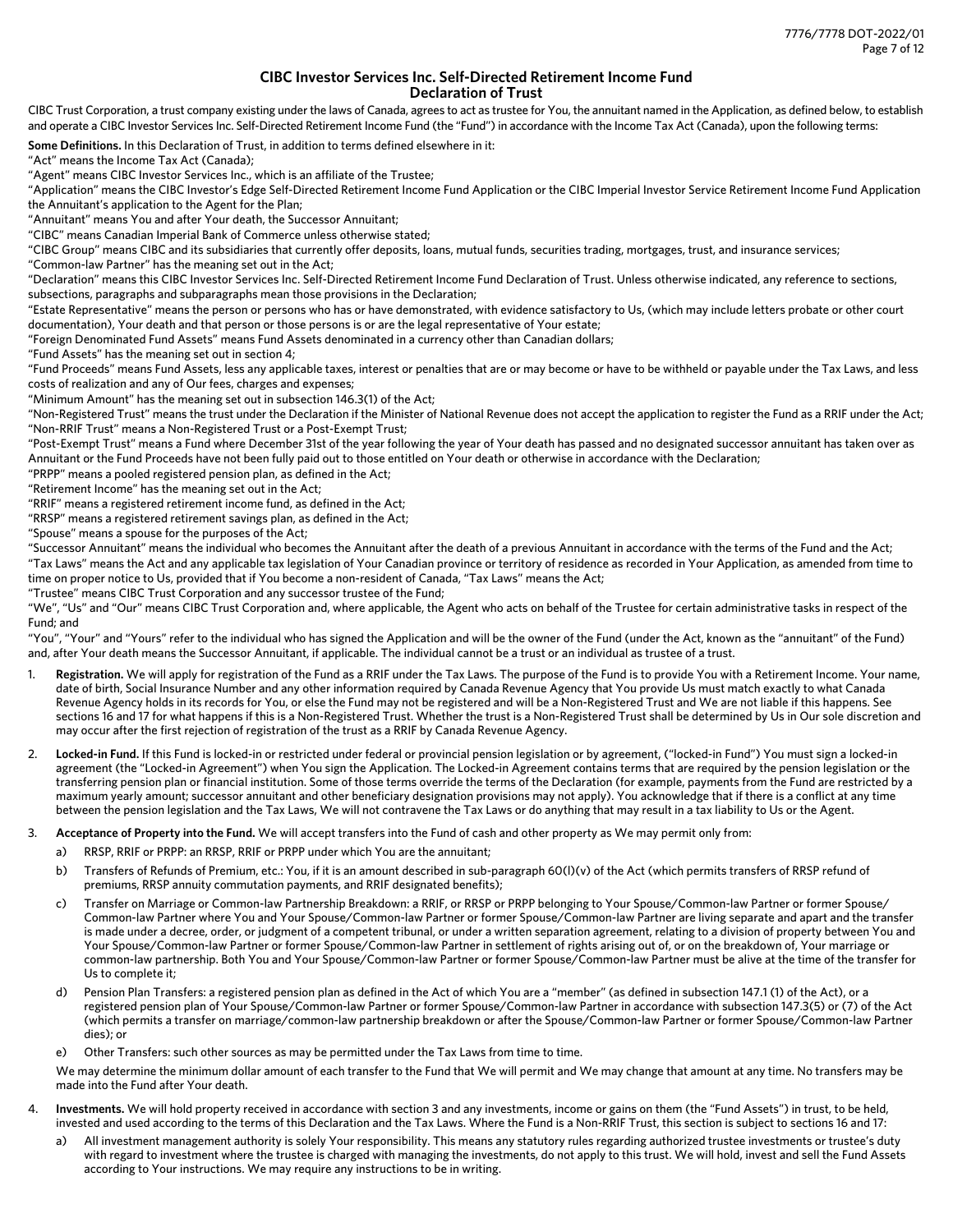# **CIBC Investor Services Inc. Self-Directed Retirement Income Fund Declaration of Trust**

CIBC Trust Corporation, a trust company existing under the laws of Canada, agrees to act as trustee for You, the annuitant named in the Application, as defined below, to establish and operate a CIBC Investor Services Inc. Self-Directed Retirement Income Fund (the "Fund")in accordance with the Income Tax Act(Canada), upon the following terms:

**Some Definitions.** In this Declaration of Trust, in addition to terms defined elsewhere in it:

"Act" means the Income Tax Act (Canada);

"Agent" means CIBC Investor Services Inc., which is an affiliate of the Trustee;

"Application" means the CIBC Investor's Edge Self-Directed Retirement Income Fund Application or the CIBC Imperial Investor Service Retirement Income Fund Application the Annuitant's application to the Agent for the Plan;

"Annuitant" means You and after Your death, the Successor Annuitant;

"CIBC" means Canadian Imperial Bank of Commerce unless otherwise stated;

"CIBC Group" means CIBC and its subsidiaries that currently offer deposits, loans, mutual funds, securities trading, mortgages, trust, and insurance services;

"Common-law Partner" has the meaning set out in the Act;

"Declaration" means this CIBC Investor Services Inc. Self-Directed Retirement Income Fund Declaration of Trust. Unless otherwise indicated, any reference to sections, subsections, paragraphs and subparagraphs mean those provisions in the Declaration;

"Estate Representative" means the person or persons who has or have demonstrated, with evidence satisfactory to Us, (which may include letters probate or other court documentation), Your death and that person or those persons is or are the legal representative of Your estate;

"Foreign Denominated Fund Assets" means Fund Assets denominated in a currency other than Canadian dollars;

"Fund Assets" has the meaning set out in section 4;

"Fund Proceeds" means Fund Assets, less any applicable taxes, interest or penalties that are or may become or have to be withheld or payable under the Tax Laws, and less costs of realization and any of Our fees, charges and expenses;

"Minimum Amount" has the meaning set out in subsection 146.3(1) of the Act;

"Non-Registered Trust" means the trust under the Declaration if the Minister of National Revenue does not accept the application to register the Fund as a RRIF under the Act; "Non-RRIF Trust" means a Non-Registered Trust or a Post-Exempt Trust;

"Post-Exempt Trust" means a Fund where December 31st of the year following the year of Your death has passed and no designated successor annuitant has taken over as Annuitant or the Fund Proceeds have not been fully paid out to those entitled on Your death or otherwise in accordance with the Declaration;

"PRPP" means a pooled registered pension plan, as defined in the Act;

"Retirement Income" has the meaning set out in the Act;

"RRIF" means a registered retirement income fund, as defined in the Act;

"RRSP" means a registered retirement savings plan, as defined in the Act;

"Spouse" means a spouse for the purposes of the Act;

"Successor Annuitant" means the individual who becomes the Annuitant after the death of a previous Annuitant in accordance with the terms of the Fund and the Act; "Tax Laws" means the Act and any applicable tax legislation of Your Canadian province or territory of residence as recorded in Your Application, as amended from time to time on proper notice to Us, provided that if You become a non-resident of Canada, "Tax Laws" means the Act;

"Trustee" means CIBC Trust Corporation and any successor trustee of the Fund;

"We", "Us" and "Our" means CIBC Trust Corporation and, where applicable, the Agent who acts on behalf of the Trustee for certain administrative tasks in respect of the Fund; and

"You", "Your" and "Yours" refer to the individual who has signed the Application and will be the owner of the Fund (under the Act, known as the "annuitant" of the Fund) and, after Your death means the Successor Annuitant, if applicable. The individual cannot be a trust or an individual as trustee of a trust.

- 1. **Registration.** We will apply for registration of the Fund as a RRIF under the Tax Laws. The purpose of the Fund is to provide You with a Retirement Income. Your name, date of birth, Social Insurance Number and any other information required by Canada Revenue Agency that You provide Us must match exactly to what Canada Revenue Agency holds in its records for You, or else the Fund may not be registered and will be a Non-Registered Trust and We are not liable if this happens. See sections 16 and 17 for what happens if this is a Non-Registered Trust. Whether the trust is a Non-Registered Trust shall be determined by Us in Our sole discretion and may occur after the first rejection of registration of the trust as a RRIF by Canada Revenue Agency.
- 2. **Locked-in Fund.** If this Fund is locked-in or restricted under federal or provincial pension legislation or by agreement, ("locked-in Fund") You must sign a locked-in agreement (the "Locked-in Agreement") when You sign the Application. The Locked-in Agreement contains terms that are required by the pension legislation or the transferring pension plan or financial institution. Some of those terms override the terms of the Declaration (for example, payments from the Fund are restricted by a maximum yearly amount; successor annuitant and other beneficiary designation provisions may not apply). You acknowledge that if there is a conflict at any time between the pension legislation and the Tax Laws, We will not contravene the Tax Laws or do anything that may result in a tax liability to Us or the Agent.

3. **Acceptance of Property into the Fund.** We will accept transfers into the Fund of cash and other property as We may permit only from:

- a) RRSP, RRIF or PRPP: an RRSP, RRIF or PRPP under which You are the annuitant;
- b) Transfers of Refunds of Premium, etc.: You, if it is an amount described in sub-paragraph 60(I)(v) of the Act (which permits transfers of RRSP refund of premiums, RRSP annuity commutation payments, and RRIF designated benefits);
- c) Transfer on Marriage or Common-law Partnership Breakdown: a RRIF, or RRSP or PRPP belonging to Your Spouse/Common-law Partner or former Spouse/ Common-law Partner where You and Your Spouse/Common-law Partner or former Spouse/Common-law Partner are living separate and apart and the transfer is made under a decree, order, or judgment of a competent tribunal, or under a written separation agreement, relating to a division of property between You and Your Spouse/Common-law Partner or former Spouse/Common-law Partner in settlement of rights arising out of, or on the breakdown of, Your marriage or common-law partnership. Both You and Your Spouse/Common-law Partner or former Spouse/Common-law Partner must be alive at the time of the transfer for Us to complete it;
- d) Pension Plan Transfers: a registered pension plan as defined in the Act of which You are a "member" (as defined in subsection 147.1 (1) of the Act), or a registered pension plan of Your Spouse/Common-law Partner or former Spouse/Common-law Partner in accordance with subsection 147.3(5) or (7) of the Act (which permits a transfer on marriage/common-law partnership breakdown or after the Spouse/Common-law Partner or former Spouse/Common-law Partner dies); or
- e) Other Transfers: such other sources as may be permitted under the Tax Laws from time to time.

We may determine the minimum dollar amount of each transfer to the Fund that We will permit and We may change that amount at any time. No transfers may be made into the Fund after Your death.

- 4. **Investments.** We will hold property received in accordance with section 3 and any investments, income or gains on them (the "Fund Assets") in trust, to be held, invested and used according to the terms of this Declaration and the Tax Laws. Where the Fund is a Non-RRIF Trust, this section is subject to sections 16 and 17:
	- a) All investment management authority is solely Your responsibility. This means any statutory rules regarding authorized trustee investments or trustee's duty with regard to investment where the trustee is charged with managing the investments, do not apply to this trust. We will hold, invest and sell the Fund Assets according to Your instructions. We may require any instructions to be in writing.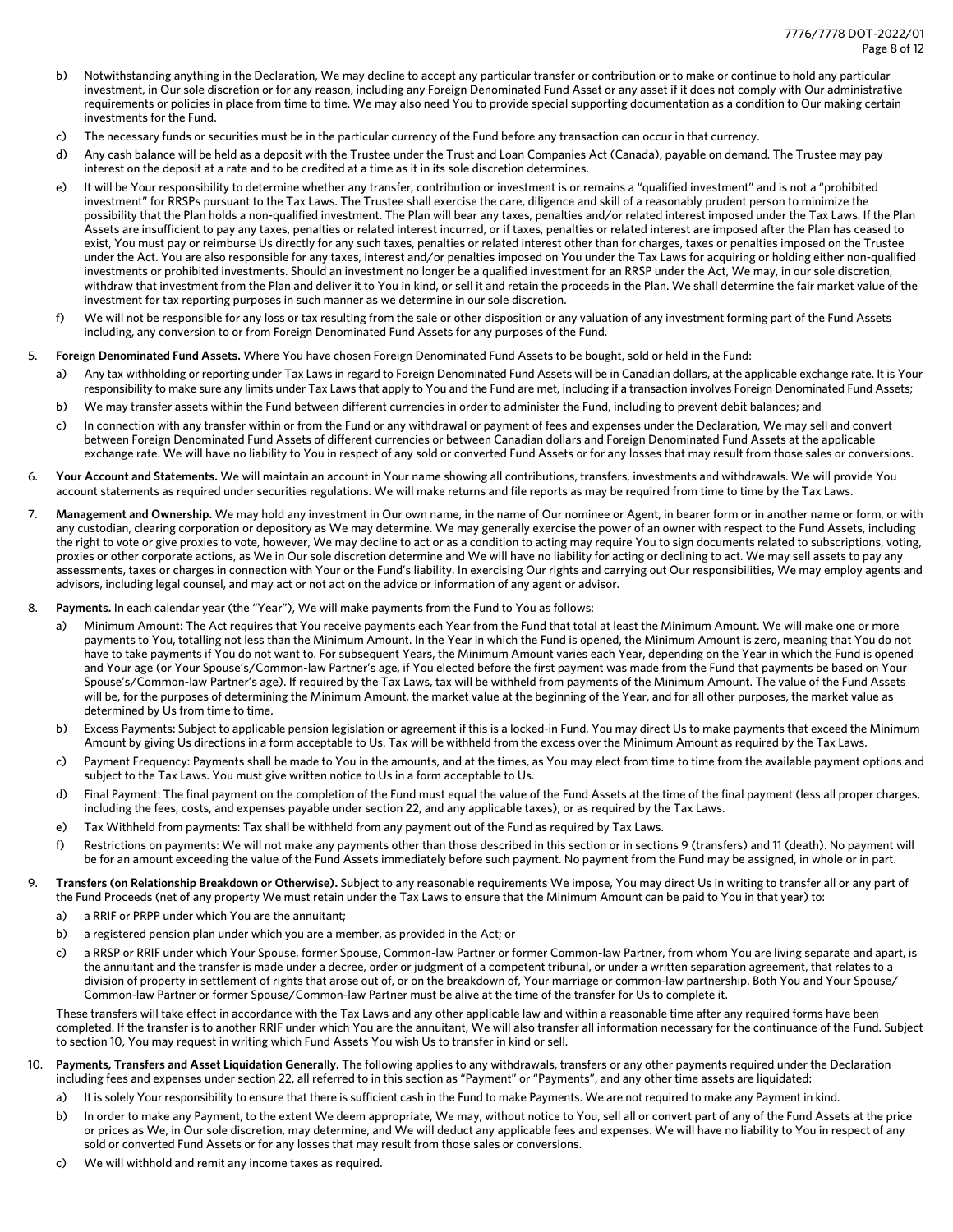- b) Notwithstanding anything in the Declaration, We may decline to accept any particular transfer or contribution or to make or continue to hold any particular investment, in Our sole discretion or for any reason, including any Foreign Denominated Fund Asset or any asset if it does not comply with Our administrative requirements or policies in place from time to time. We may also need You to provide special supporting documentation as a condition to Our making certain investments for the Fund.
- c) The necessary funds or securities must be in the particular currency of the Fund before any transaction can occur in that currency.
- d) Any cash balance will be held as a deposit with the Trustee under the Trust and Loan Companies Act (Canada), payable on demand. The Trustee may pay interest on the deposit at a rate and to be credited at a time as it in its sole discretion determines.
- e) It will be Your responsibility to determine whether any transfer, contribution or investment is or remains a "qualified investment" and is not a "prohibited investment" for RRSPs pursuant to the Tax Laws. The Trustee shall exercise the care, diligence and skill of a reasonably prudent person to minimize the possibility that the Plan holds a non-qualified investment. The Plan will bear any taxes, penalties and/or related interest imposed under the Tax Laws. If the Plan Assets are insufficient to pay any taxes, penalties or related interest incurred, or if taxes, penalties or related interest are imposed after the Plan has ceased to exist, You must pay or reimburse Us directly for any such taxes, penalties or related interest other than for charges, taxes or penalties imposed on the Trustee under the Act. You are also responsible for any taxes, interest and/or penalties imposed on You under the Tax Laws for acquiring or holding either non-qualified investments or prohibited investments. Should an investment no longer be a qualified investment for an RRSP under the Act, We may, in our sole discretion, withdraw that investment from the Plan and deliver it to You in kind, or sell it and retain the proceeds in the Plan. We shall determine the fair market value of the investment for tax reporting purposes in such manner as we determine in our sole discretion.
- f) We will not be responsible for any loss or tax resulting from the sale or other disposition or any valuation of any investment forming part of the Fund Assets including, any conversion to or from Foreign Denominated Fund Assets for any purposes of the Fund.

#### 5. **Foreign Denominated Fund Assets.** Where You have chosen Foreign Denominated Fund Assets to be bought, sold or held in the Fund:

- a) Any tax withholding or reporting under Tax Laws in regard to Foreign Denominated Fund Assets will be in Canadian dollars, at the applicable exchange rate. It is Your responsibility to make sure any limits under Tax Laws that apply to You and the Fund are met, including if a transaction involves Foreign Denominated Fund Assets;
- b) We may transfer assets within the Fund between different currencies in order to administer the Fund, including to prevent debit balances; and
- c) In connection with any transfer within or from the Fund or any withdrawal or payment of fees and expenses under the Declaration, We may sell and convert between Foreign Denominated Fund Assets of different currencies or between Canadian dollars and Foreign Denominated Fund Assets at the applicable exchange rate. We will have no liability to You in respect of any sold or converted Fund Assets or for any losses that may result from those sales or conversions.
- 6. **Your Account and Statements.** We will maintain an account in Your name showing all contributions, transfers, investments and withdrawals. We will provide You account statements as required under securities regulations. We will make returns and file reports as may be required from time to time by the Tax Laws.
- 7. **Management and Ownership.** We may hold any investment in Our own name, in the name of Our nominee or Agent, in bearer form or in another name or form, or with any custodian, clearing corporation or depository as We may determine. We may generally exercise the power of an owner with respect to the Fund Assets, including the right to vote or give proxies to vote, however, We may decline to act or as a condition to acting may require You to sign documents related to subscriptions, voting, proxies or other corporate actions, as We in Our sole discretion determine and We will have no liability for acting or declining to act. We may sell assets to pay any assessments, taxes or charges in connection with Your or the Fund's liability. In exercising Our rights and carrying out Our responsibilities, We may employ agents and advisors, including legal counsel, and may act or not act on the advice or information of any agent or advisor.
- 8. **Payments.** In each calendar year (the "Year"), We will make payments from the Fund to You as follows:
	- a) Minimum Amount: The Act requires that You receive payments each Year from the Fund that total at least the Minimum Amount. We will make one or more payments to You, totalling not less than the Minimum Amount. In the Year in which the Fund is opened, the Minimum Amount is zero, meaning that You do not have to take payments if You do not want to. For subsequent Years, the Minimum Amount varies each Year, depending on the Year in which the Fund is opened and Your age (or Your Spouse's/Common-law Partner's age, if You elected before the first payment was made from the Fund that payments be based on Your Spouse's/Common-law Partner's age). If required by the Tax Laws, tax will be withheld from payments of the Minimum Amount. The value of the Fund Assets will be, for the purposes of determining the Minimum Amount, the market value at the beginning of the Year, and for all other purposes, the market value as determined by Us from time to time.
	- b) Excess Payments: Subject to applicable pension legislation or agreement if this is a locked-in Fund, You may direct Us to make payments that exceed the Minimum Amount by giving Us directions in a form acceptable to Us. Tax will be withheld from the excess over the Minimum Amount as required by the Tax Laws.
	- c) Payment Frequency: Payments shall be made to You in the amounts, and at the times, as You may elect from time to time from the available payment options and subject to the Tax Laws. You must give written notice to Us in a form acceptable to Us.
	- d) Final Payment: The final payment on the completion of the Fund must equal the value of the Fund Assets at the time of the final payment (less all proper charges, including the fees, costs, and expenses payable under section 22, and any applicable taxes), or as required by the Tax Laws.
	- e) Tax Withheld from payments: Tax shall be withheld from any payment out of the Fund as required by Tax Laws.
	- f) Restrictions on payments: We will not make any payments other than those described in this section or in sections 9 (transfers) and 11 (death). No payment will be for an amount exceeding the value of the Fund Assets immediately before such payment. No payment from the Fund may be assigned, in whole or in part.
- 9. **Transfers (on Relationship Breakdown or Otherwise).** Subject to any reasonable requirements We impose, You may direct Us in writing to transfer all or any part of the Fund Proceeds (net of any property We must retain under the Tax Laws to ensure that the Minimum Amount can be paid to You in that year) to:
	- a) a RRIF or PRPP under which You are the annuitant;
	- b) a registered pension plan under which you are a member, as provided in the Act; or
	- c) a RRSP or RRIF under which Your Spouse, former Spouse, Common-law Partner or former Common-law Partner, from whom You are living separate and apart, is the annuitant and the transfer is made under a decree, order or judgment of a competent tribunal, or under a written separation agreement, that relates to a division of property in settlement of rights that arose out of, or on the breakdown of, Your marriage or common-law partnership. Both You and Your Spouse/ Common-law Partner or former Spouse/Common-law Partner must be alive at the time of the transfer for Us to complete it.

These transfers will take effect in accordance with the Tax Laws and any other applicable law and within a reasonable time after any required forms have been completed. If the transfer is to another RRIF under which You are the annuitant, We will also transfer all information necessary for the continuance of the Fund. Subject to section 10, You may request in writing which Fund Assets You wish Us to transfer in kind or sell.

- 10. **Payments, Transfers and Asset Liquidation Generally.** The following applies to any withdrawals, transfers or any other payments required under the Declaration including fees and expenses under section 22, all referred to in this section as "Payment" or "Payments", and any other time assets are liquidated:
	- a) It is solely Your responsibility to ensure that there is sufficient cash in the Fund to make Payments. We are not required to make any Payment in kind.
	- b) In order to make any Payment, to the extent We deem appropriate, We may, without notice to You, sell all or convert part of any of the Fund Assets at the price or prices as We, in Our sole discretion, may determine, and We will deduct any applicable fees and expenses. We will have no liability to You in respect of any sold or converted Fund Assets or for any losses that may result from those sales or conversions.
	- c) We will withhold and remit any income taxes as required.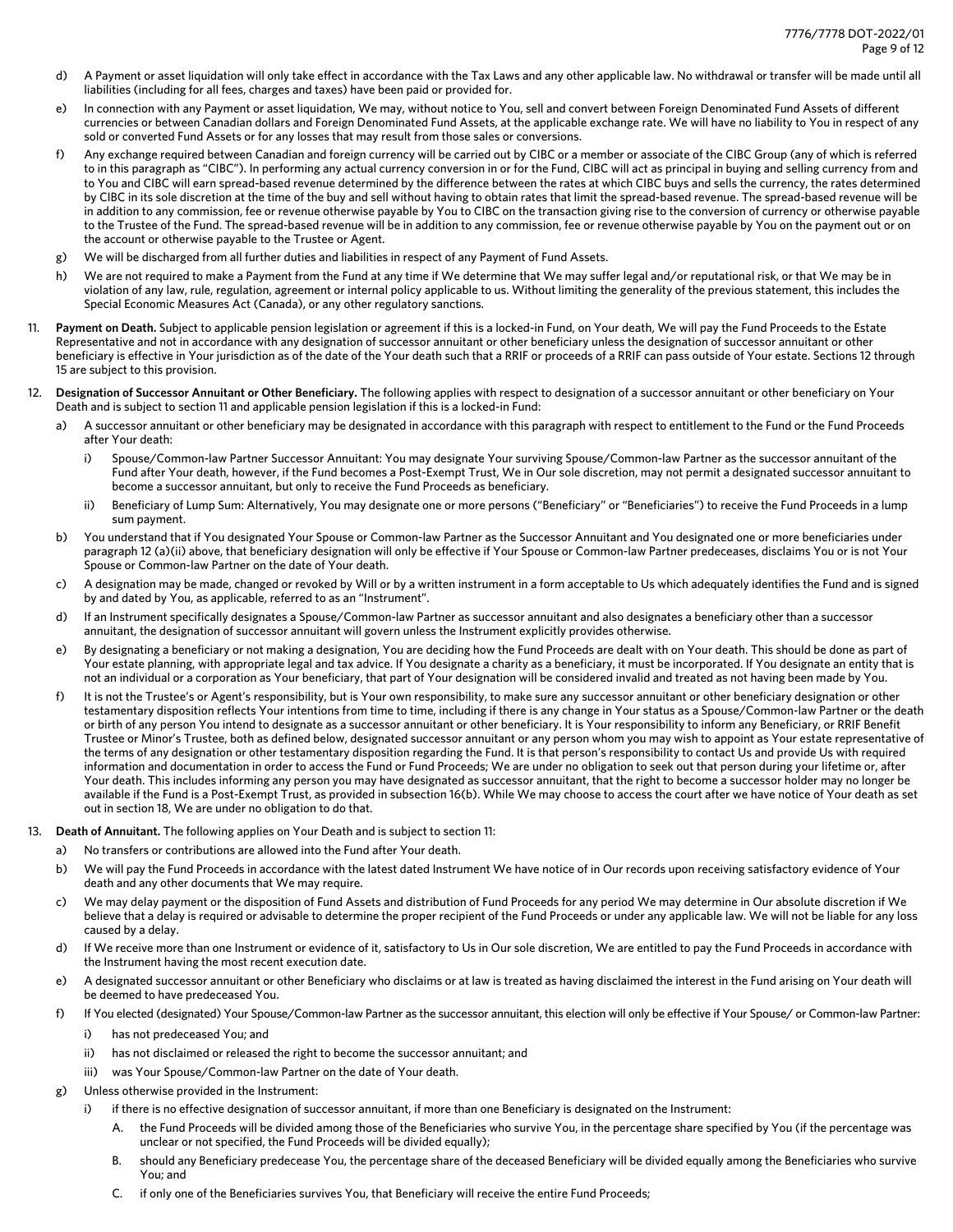- d) A Payment or asset liquidation will only take effect in accordance with the Tax Laws and any other applicable law. No withdrawal or transfer will be made until all liabilities (including for all fees, charges and taxes) have been paid or provided for.
- e) In connection with any Payment or asset liquidation, We may, without notice to You, sell and convert between Foreign Denominated Fund Assets of different currencies or between Canadian dollars and Foreign Denominated Fund Assets, at the applicable exchange rate. We will have no liability to You in respect of any sold or converted Fund Assets or for any losses that may result from those sales or conversions.
- f) Any exchange required between Canadian and foreign currency will be carried out by CIBC or a member or associate of the CIBC Group (any of which is referred to in this paragraph as "CIBC"). In performing any actual currency conversion in or for the Fund, CIBC will act as principal in buying and selling currency from and to You and CIBC will earn spread-based revenue determined by the difference between the rates at which CIBC buys and sells the currency, the rates determined by CIBC in its sole discretion at the time of the buy and sell without having to obtain rates that limit the spread-based revenue. The spread-based revenue will be in addition to any commission, fee or revenue otherwise payable by You to CIBC on the transaction giving rise to the conversion of currency or otherwise payable to the Trustee of the Fund. The spread-based revenue will be in addition to any commission, fee or revenue otherwise payable by You on the payment out or on the account or otherwise payable to the Trustee or Agent.
- g) We will be discharged from all further duties and liabilities in respect of any Payment of Fund Assets.
- h) We are not required to make a Payment from the Fund at any time if We determine that We may suffer legal and/or reputational risk, or that We may be in violation of any law, rule, regulation, agreement or internal policy applicable to us. Without limiting the generality of the previous statement, this includes the Special Economic Measures Act (Canada), or any other regulatory sanctions.
- 11. **Payment on Death.** Subject to applicable pension legislation or agreement if this is a locked-in Fund, on Your death, We will pay the Fund Proceeds to the Estate Representative and not in accordance with any designation of successor annuitant or other beneficiary unless the designation of successor annuitant or other beneficiary is effective in Your jurisdiction as of the date of the Your death such that a RRIF or proceeds of a RRIF can pass outside of Your estate. Sections 12 through 15 are subject to this provision.
- 12. **Designation of Successor Annuitant or Other Beneficiary.** The following applies with respect to designation of a successor annuitant or other beneficiary on Your Death and is subject to section 11 and applicable pension legislation if this is a locked-in Fund:
	- a) A successor annuitant or other beneficiary may be designated in accordance with this paragraph with respect to entitlement to the Fund or the Fund Proceeds after Your death:
		- i) Spouse/Common-law Partner Successor Annuitant: You may designate Your surviving Spouse/Common-law Partner as the successor annuitant of the Fund after Your death, however, if the Fund becomes a Post-Exempt Trust, We in Our sole discretion, may not permit a designated successor annuitant to become a successor annuitant, but only to receive the Fund Proceeds as beneficiary.
		- ii) Beneficiary of Lump Sum: Alternatively, You may designate one or more persons ("Beneficiary" or "Beneficiaries") to receive the Fund Proceeds in a lump sum payment.
	- b) You understand that if You designated Your Spouse or Common-law Partner as the Successor Annuitant and You designated one or more beneficiaries under paragraph 12 (a)(ii) above, that beneficiary designation will only be effective if Your Spouse or Common-law Partner predeceases, disclaims You or is not Your Spouse or Common-law Partner on the date of Your death.
	- c) A designation may be made, changed or revoked by Will or by a written instrument in a form acceptable to Us which adequately identifies the Fund and is signed by and dated by You, as applicable, referred to as an "Instrument".
	- d) If an Instrument specifically designates a Spouse/Common-law Partner as successor annuitant and also designates a beneficiary other than a successor annuitant, the designation of successor annuitant will govern unless the Instrument explicitly provides otherwise.
	- e) By designating a beneficiary or not making a designation, You are deciding how the Fund Proceeds are dealt with on Your death. This should be done as part of Your estate planning, with appropriate legal and tax advice. If You designate a charity as a beneficiary, it must be incorporated. If You designate an entity that is not an individual or a corporation as Your beneficiary, that part of Your designation will be considered invalid and treated as not having been made by You.
	- f) It is not the Trustee's or Agent's responsibility, but is Your own responsibility, to make sure any successor annuitant or other beneficiary designation or other testamentary disposition reflects Your intentions from time to time, including if there is any change in Your status as a Spouse/Common-law Partner or the death or birth of any person You intend to designate as a successor annuitant or other beneficiary. It is Your responsibility to inform any Beneficiary, or RRIF Benefit Trustee or Minor's Trustee, both as defined below, designated successor annuitant or any person whom you may wish to appoint as Your estate representative of the terms of any designation or other testamentary disposition regarding the Fund. It is that person's responsibility to contact Us and provide Us with required information and documentation in order to access the Fund or Fund Proceeds; We are under no obligation to seek out that person during your lifetime or, after Your death. This includes informing any person you may have designated as successor annuitant, that the right to become a successor holder may no longer be available if the Fund is a Post-Exempt Trust, as provided in subsection 16(b). While We may choose to access the court after we have notice of Your death as set out in section 18, We are under no obligation to do that.
- 13. **Death of Annuitant.** The following applies on Your Death and is subject to section 11:
	- a) No transfers or contributions are allowed into the Fund after Your death.
	- b) We will pay the Fund Proceeds in accordance with the latest dated Instrument We have notice of in Our records upon receiving satisfactory evidence of Your death and any other documents that We may require.
	- c) We may delay payment or the disposition of Fund Assets and distribution of Fund Proceeds for any period We may determine in Our absolute discretion if We believe that a delay is required or advisable to determine the proper recipient of the Fund Proceeds or under any applicable law. We will not be liable for any loss caused by a delay.
	- d) If We receive more than one Instrument or evidence of it, satisfactory to Us in Our sole discretion, We are entitled to pay the Fund Proceeds in accordance with the Instrument having the most recent execution date.
	- e) A designated successor annuitant or other Beneficiary who disclaims or at law is treated as having disclaimed the interest in the Fund arising on Your death will be deemed to have predeceased You.
	- f) If You elected (designated) Your Spouse/Common-law Partner as the successor annuitant, this election will only be effective if Your Spouse/ or Common-law Partner:
		- i) has not predeceased You; and
		- ii) has not disclaimed or released the right to become the successor annuitant; and
		- iii) was Your Spouse/Common-law Partner on the date of Your death.
	- g) Unless otherwise provided in the Instrument:
		- i) if there is no effective designation of successor annuitant, if more than one Beneficiary is designated on the Instrument:
			- the Fund Proceeds will be divided among those of the Beneficiaries who survive You, in the percentage share specified by You (if the percentage was unclear or not specified, the Fund Proceeds will be divided equally);
			- B. should any Beneficiary predecease You, the percentage share of the deceased Beneficiary will be divided equally among the Beneficiaries who survive You; and
			- C. if only one of the Beneficiaries survives You, that Beneficiary will receive the entire Fund Proceeds;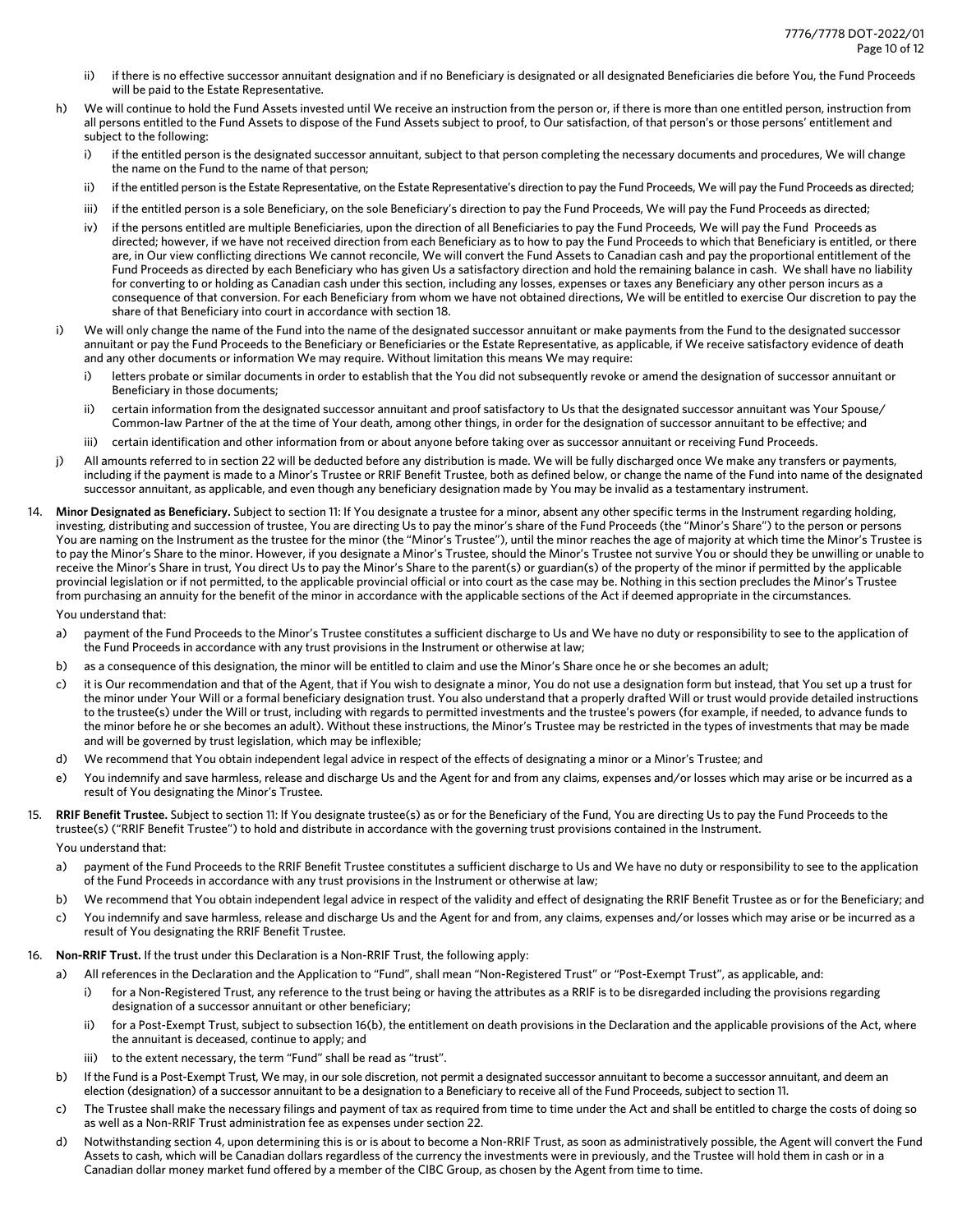- ii) if there is no effective successor annuitant designation and if no Beneficiary is designated or all designated Beneficiaries die before You, the Fund Proceeds will be paid to the Estate Representative.
- h) We will continue to hold the Fund Assets invested until We receive an instruction from the person or, if there is more than one entitled person, instruction from all persons entitled to the Fund Assets to dispose of the Fund Assets subject to proof, to Our satisfaction, of that person's or those persons' entitlement and subject to the following:
	- if the entitled person is the designated successor annuitant, subject to that person completing the necessary documents and procedures, We will change the name on the Fund to the name of that person;
	- ii) if the entitled person is the Estate Representative, on the Estate Representative's direction to pay the Fund Proceeds, We will pay the Fund Proceeds as directed;
	- iii) if the entitled person is a sole Beneficiary, on the sole Beneficiary's direction to pay the Fund Proceeds, We will pay the Fund Proceeds as directed;
	- iv) if the persons entitled are multiple Beneficiaries, upon the direction of all Beneficiaries to pay the Fund Proceeds, We will pay the Fund Proceeds as directed; however, if we have not received direction from each Beneficiary as to how to pay the Fund Proceeds to which that Beneficiary is entitled, or there are, in Our view conflicting directions We cannot reconcile, We will convert the Fund Assets to Canadian cash and pay the proportional entitlement of the Fund Proceeds as directed by each Beneficiary who has given Us a satisfactory direction and hold the remaining balance in cash. We shall have no liability for converting to or holding as Canadian cash under this section, including any losses, expenses or taxes any Beneficiary any other person incurs as a consequence of that conversion. For each Beneficiary from whom we have not obtained directions, We will be entitled to exercise Our discretion to pay the share of that Beneficiary into court in accordance with section 18.
- i) We will only change the name of the Fund into the name of the designated successor annuitant or make payments from the Fund to the designated successor annuitant or pay the Fund Proceeds to the Beneficiary or Beneficiaries or the Estate Representative, as applicable, if We receive satisfactory evidence of death and any other documents or information We may require. Without limitation this means We may require:
	- letters probate or similar documents in order to establish that the You did not subsequently revoke or amend the designation of successor annuitant or Beneficiary in those documents;
	- ii) certain information from the designated successor annuitant and proof satisfactory to Us that the designated successor annuitant was Your Spouse/ Common-law Partner of the at the time of Your death, among other things, in order for the designation of successor annuitant to be effective; and
	- iii) certain identification and other information from or about anyone before taking over as successor annuitant or receiving Fund Proceeds.
- j) All amounts referred to in section 22 will be deducted before any distribution is made. We will be fully discharged once We make any transfers or payments, including if the payment is made to a Minor's Trustee or RRIF Benefit Trustee, both as defined below, or change the name of the Fund into name of the designated successor annuitant, as applicable, and even though any beneficiary designation made by You may be invalid as a testamentary instrument.
- 14. **Minor Designated as Beneficiary.** Subject to section 11: If You designate a trustee for a minor, absent any other specific terms in the Instrument regarding holding, investing, distributing and succession of trustee, You are directing Us to pay the minor's share of the Fund Proceeds (the "Minor's Share") to the person or persons You are naming on the Instrument as the trustee for the minor (the "Minor's Trustee"), until the minor reaches the age of majority at which time the Minor's Trustee is to pay the Minor's Share to the minor. However, if you designate a Minor's Trustee, should the Minor's Trustee not survive You or should they be unwilling or unable to receive the Minor's Share in trust, You direct Us to pay the Minor's Share to the parent(s) or guardian(s) of the property of the minor if permitted by the applicable provincial legislation or if not permitted, to the applicable provincial official or into court as the case may be. Nothing in this section precludes the Minor's Trustee from purchasing an annuity for the benefit of the minor in accordance with the applicable sections of the Act if deemed appropriate in the circumstances.

You understand that:

- a) payment of the Fund Proceeds to the Minor's Trustee constitutes a sufficient discharge to Us and We have no duty or responsibility to see to the application of the Fund Proceeds in accordance with any trust provisions in the Instrument or otherwise at law;
- b) as a consequence of this designation, the minor will be entitled to claim and use the Minor's Share once he or she becomes an adult;
- c) it is Our recommendation and that of the Agent, that if You wish to designate a minor, You do not use a designation form but instead, that You set up a trust for the minor under Your Will or a formal beneficiary designation trust. You also understand that a properly drafted Will or trust would provide detailed instructions to the trustee(s) under the Will or trust, including with regards to permitted investments and the trustee's powers (for example, if needed, to advance funds to the minor before he or she becomes an adult). Without these instructions, the Minor's Trustee may be restricted in the types of investments that may be made and will be governed by trust legislation, which may be inflexible;
- d) We recommend that You obtain independent legal advice in respect of the effects of designating a minor or a Minor's Trustee; and
- e) You indemnify and save harmless, release and discharge Us and the Agent for and from any claims, expenses and/or losses which may arise or be incurred as a result of You designating the Minor's Trustee.
- 15. **RRIF Benefit Trustee.** Subject to section 11: If You designate trustee(s) as or for the Beneficiary of the Fund, You are directing Us to pay the Fund Proceeds to the trustee(s) ("RRIF Benefit Trustee") to hold and distribute in accordance with the governing trust provisions contained in the Instrument.

You understand that:

- a) payment of the Fund Proceeds to the RRIF Benefit Trustee constitutes a sufficient discharge to Us and We have no duty or responsibility to see to the application of the Fund Proceeds in accordance with any trust provisions in the Instrument or otherwise at law;
- b) We recommend that You obtain independent legal advice in respect of the validity and effect of designating the RRIF Benefit Trustee as or for the Beneficiary; and
- c) You indemnify and save harmless, release and discharge Us and the Agent for and from, any claims, expenses and/or losses which may arise or be incurred as a result of You designating the RRIF Benefit Trustee.
- 16. **Non-RRIF Trust.** If the trust under this Declaration is a Non-RRIF Trust, the following apply:
	- a) All references in the Declaration and the Application to "Fund", shall mean "Non-Registered Trust" or "Post-Exempt Trust", as applicable, and:
		- i) for a Non-Registered Trust, any reference to the trust being or having the attributes as a RRIF is to be disregarded including the provisions regarding designation of a successor annuitant or other beneficiary;
		- ii) for a Post-Exempt Trust, subject to subsection 16(b), the entitlement on death provisions in the Declaration and the applicable provisions of the Act, where the annuitant is deceased, continue to apply; and
		- to the extent necessary, the term "Fund" shall be read as "trust".
	- b) If the Fund is a Post-Exempt Trust, We may, in our sole discretion, not permit a designated successor annuitant to become a successor annuitant, and deem an election (designation) of a successor annuitant to be a designation to a Beneficiary to receive all of the Fund Proceeds, subject to section 11.
	- c) The Trustee shall make the necessary filings and payment of tax as required from time to time under the Act and shall be entitled to charge the costs of doing so as well as a Non-RRIF Trust administration fee as expenses under section 22.
	- d) Notwithstanding section 4, upon determining this is or is about to become a Non-RRIF Trust, as soon as administratively possible, the Agent will convert the Fund Assets to cash, which will be Canadian dollars regardless of the currency the investments were in previously, and the Trustee will hold them in cash or in a Canadian dollar money market fund offered by a member of the CIBC Group, as chosen by the Agent from time to time.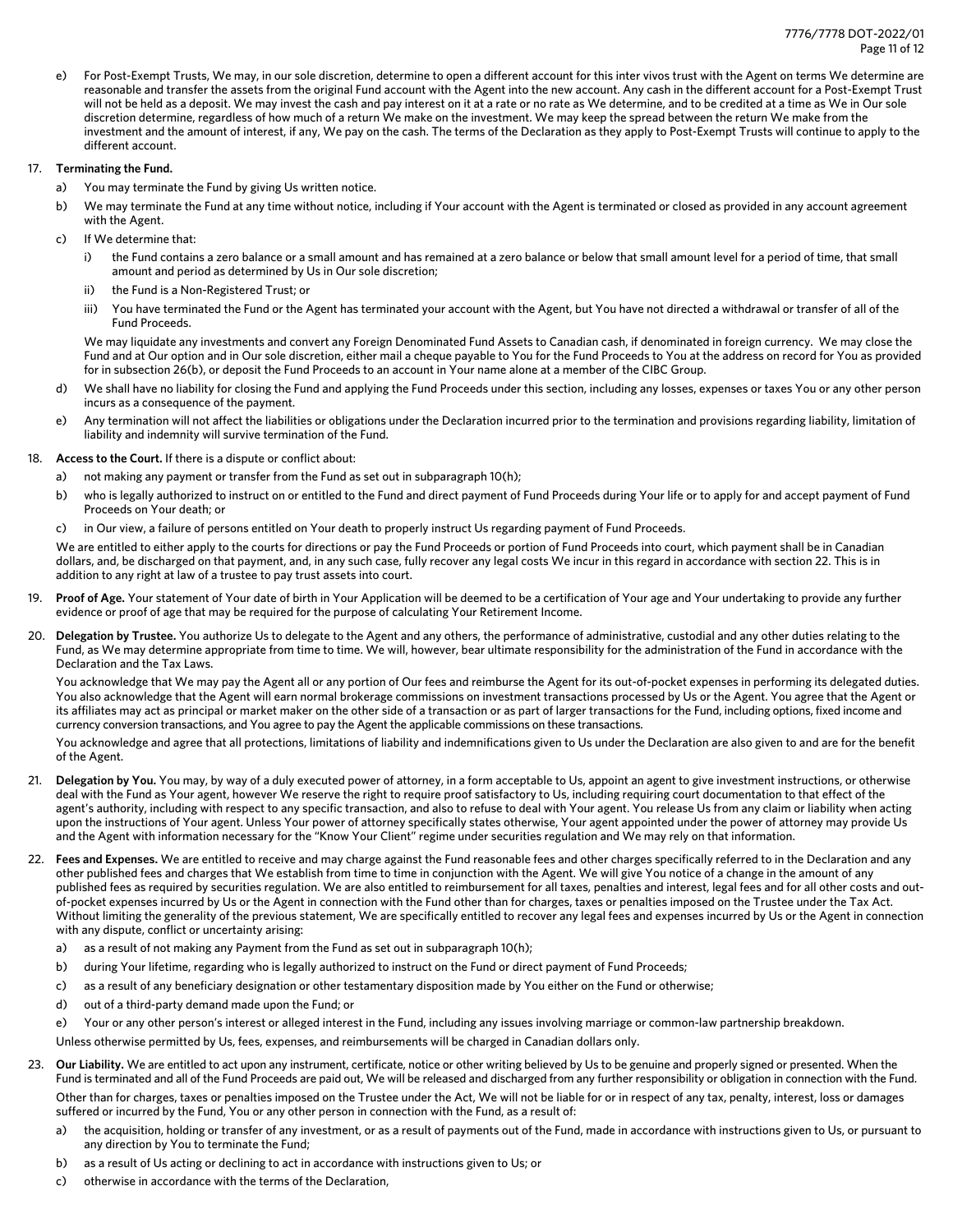e) For Post-Exempt Trusts, We may, in our sole discretion, determine to open a different account for this inter vivos trust with the Agent on terms We determine are reasonable and transfer the assets from the original Fund account with the Agent into the new account. Any cash in the different account for a Post-Exempt Trust will not be held as a deposit. We may invest the cash and pay interest on it at a rate or no rate as We determine, and to be credited at a time as We in Our sole discretion determine, regardless of how much of a return We make on the investment. We may keep the spread between the return We make from the investment and the amount of interest, if any, We pay on the cash. The terms of the Declaration as they apply to Post-Exempt Trusts will continue to apply to the different account.

## 17. **Terminating the Fund.**

- a) You may terminate the Fund by giving Us written notice.
- b) We may terminate the Fund at any time without notice, including if Your account with the Agent is terminated or closed as provided in any account agreement with the Agent.
- c) If We determine that:
	- i) the Fund contains a zero balance or a small amount and has remained at a zero balance or below that small amount level for a period of time, that small amount and period as determined by Us in Our sole discretion;
	- ii) the Fund is a Non-Registered Trust; or
	- iii) You have terminated the Fund or the Agent has terminated your account with the Agent, but You have not directed a withdrawal or transfer of all of the Fund Proceeds.

We may liquidate any investments and convert any Foreign Denominated Fund Assets to Canadian cash, if denominated in foreign currency. We may close the Fund and at Our option and in Our sole discretion, either mail a cheque payable to You for the Fund Proceeds to You at the address on record for You as provided for in subsection 26(b), or deposit the Fund Proceeds to an account in Your name alone at a member of the CIBC Group.

- d) We shall have no liability for closing the Fund and applying the Fund Proceeds under this section, including any losses, expenses or taxes You or any other person incurs as a consequence of the payment.
- e) Any termination will not affect the liabilities or obligations under the Declaration incurred prior to the termination and provisions regarding liability, limitation of liability and indemnity will survive termination of the Fund.

# 18. **Access to the Court.** If there is a dispute or conflict about:

- a) not making any payment or transfer from the Fund as set out in subparagraph 10(h);
- b) who is legally authorized to instruct on or entitled to the Fund and direct payment of Fund Proceeds during Your life or to apply for and accept payment of Fund Proceeds on Your death; or
- c) in Our view, a failure of persons entitled on Your death to properly instruct Us regarding payment of Fund Proceeds.

We are entitled to either apply to the courts for directions or pay the Fund Proceeds or portion of Fund Proceeds into court, which payment shall be in Canadian dollars, and, be discharged on that payment, and, in any such case, fully recover any legal costs We incur in this regard in accordance with section 22. This is in addition to any right at law of a trustee to pay trust assets into court.

- 19. **Proof of Age.** Your statement of Your date of birth in Your Application will be deemed to be a certification of Your age and Your undertaking to provide any further evidence or proof of age that may be required for the purpose of calculating Your Retirement Income.
- 20. **Delegation by Trustee.** You authorize Us to delegate to the Agent and any others, the performance of administrative, custodial and any other duties relating to the Fund, as We may determine appropriate from time to time. We will, however, bear ultimate responsibility for the administration of the Fund in accordance with the Declaration and the Tax Laws.

You acknowledge that We may pay the Agent all or any portion of Our fees and reimburse the Agent for its out-of-pocket expenses in performing its delegated duties. You also acknowledge that the Agent will earn normal brokerage commissions on investment transactions processed by Us or the Agent. You agree that the Agent or its affiliates may act as principal or market maker on the other side of a transaction or as part of larger transactions for the Fund, including options, fixed income and currency conversion transactions, and You agree to pay the Agent the applicable commissions on these transactions.

You acknowledge and agree that all protections, limitations of liability and indemnifications given to Us under the Declaration are also given to and are for the benefit of the Agent.

- 21. **Delegation by You.** You may, by way of a duly executed power of attorney, in a form acceptable to Us, appoint an agent to give investment instructions, or otherwise deal with the Fund as Your agent, however We reserve the right to require proof satisfactory to Us, including requiring court documentation to that effect of the agent's authority, including with respect to any specific transaction, and also to refuse to deal with Your agent. You release Us from any claim or liability when acting upon the instructions of Your agent. Unless Your power of attorney specifically states otherwise, Your agent appointed under the power of attorney may provide Us and the Agent with information necessary for the "Know Your Client" regime under securities regulation and We may rely on that information.
- 22. **Fees and Expenses.** We are entitled to receive and may charge against the Fund reasonable fees and other charges specifically referred to in the Declaration and any other published fees and charges that We establish from time to time in conjunction with the Agent. We will give You notice of a change in the amount of any published fees as required by securities regulation. We are also entitled to reimbursement for all taxes, penalties and interest, legal fees and for all other costs and outof-pocket expenses incurred by Us or the Agent in connection with the Fund other than for charges, taxes or penalties imposed on the Trustee under the Tax Act. Without limiting the generality of the previous statement, We are specifically entitled to recover any legal fees and expenses incurred by Us or the Agent in connection with any dispute, conflict or uncertainty arising:
	- a) as a result of not making any Payment from the Fund as set out in subparagraph 10(h);
	- b) during Your lifetime, regarding who is legally authorized to instruct on the Fund or direct payment of Fund Proceeds;
	- c) as a result of any beneficiary designation or other testamentary disposition made by You either on the Fund or otherwise;
	- d) out of a third-party demand made upon the Fund; or
	- e) Your or any other person's interest or alleged interest in the Fund, including any issues involving marriage or common-law partnership breakdown.
	- Unless otherwise permitted by Us, fees, expenses, and reimbursements will be charged in Canadian dollars only.
- 23. **Our Liability.** We are entitled to act upon any instrument, certificate, notice or other writing believed by Us to be genuine and properly signed or presented. When the Fund is terminated and all of the Fund Proceeds are paid out, We will be released and discharged from any further responsibility or obligation in connection with the Fund. Other than for charges, taxes or penalties imposed on the Trustee under the Act, We will not be liable for or in respect of any tax, penalty, interest, loss or damages suffered or incurred by the Fund, You or any other person in connection with the Fund, as a result of:
	- a) the acquisition, holding or transfer of any investment, or as a result of payments out of the Fund, made in accordance with instructions given to Us, or pursuant to any direction by You to terminate the Fund;
	- b) as a result of Us acting or declining to act in accordance with instructions given to Us; or
	- c) otherwise in accordance with the terms of the Declaration,